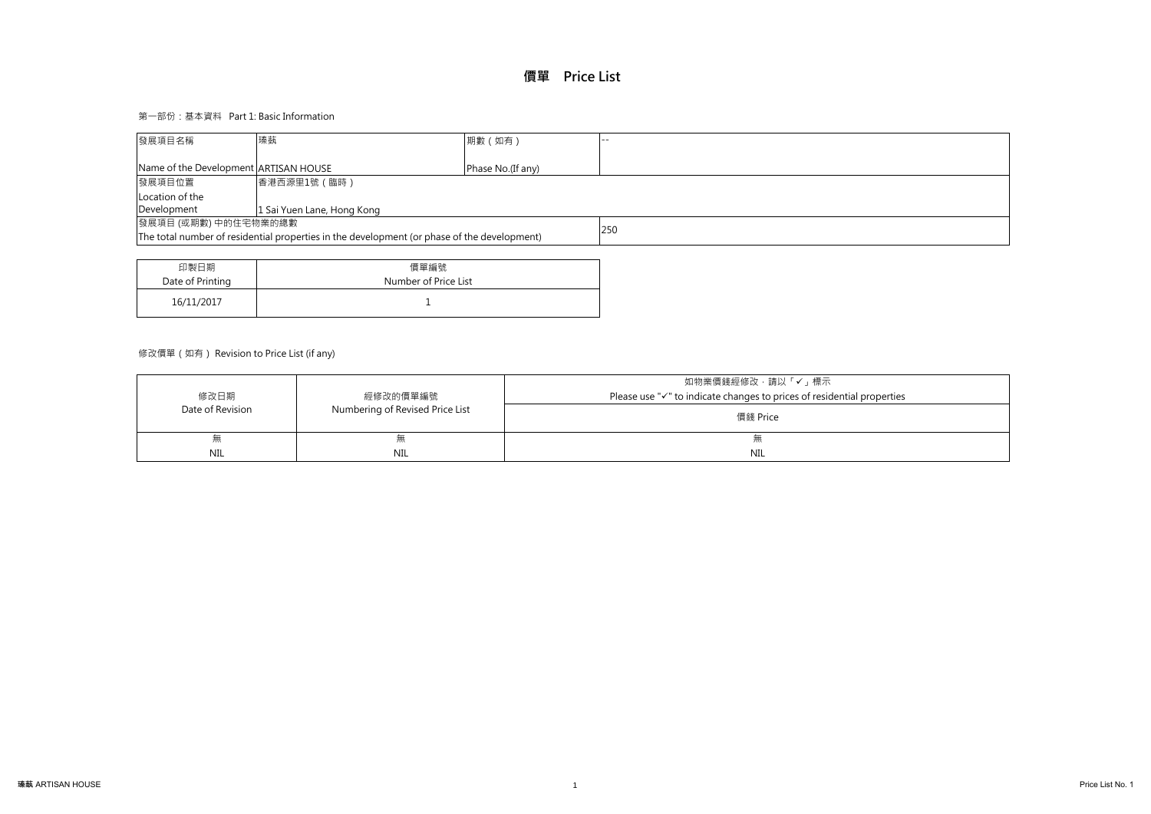# 第一部份:基本資料 Part 1: Basic Information

# 修改價單(如有) Revision to Price List (if any)

| 印製日期             | 價單編號                 |
|------------------|----------------------|
| Date of Printing | Number of Price List |
| 16/11/2017       |                      |

| 發展項目名稱                                                                                             | 瑧蓺                         | 期數 (如有) | -- |  |  |  |  |
|----------------------------------------------------------------------------------------------------|----------------------------|---------|----|--|--|--|--|
|                                                                                                    |                            |         |    |  |  |  |  |
| Name of the Development ARTISAN HOUSE<br>Phase No.(If any)                                         |                            |         |    |  |  |  |  |
| 發展項目位置                                                                                             | 香港西源里1號 (臨時)               |         |    |  |  |  |  |
| Location of the                                                                                    |                            |         |    |  |  |  |  |
| Development                                                                                        | 1 Sai Yuen Lane, Hong Kong |         |    |  |  |  |  |
| 發展項目 (或期數) 中的住宅物業的總數                                                                               |                            |         |    |  |  |  |  |
| 250<br>The total number of residential properties in the development (or phase of the development) |                            |         |    |  |  |  |  |
|                                                                                                    |                            |         |    |  |  |  |  |

|                  |                                 | 如物業價錢經修改‧請以「✔」標示                                                |
|------------------|---------------------------------|-----------------------------------------------------------------|
| 修改日期             | 經修改的價單編號                        | Please use "√" to indicate changes to prices of residential pre |
| Date of Revision | Numbering of Revised Price List | 價錢 Price                                                        |
| 無                |                                 | 术                                                               |
| <b>NIL</b>       | NIL                             | NIL                                                             |

# roperties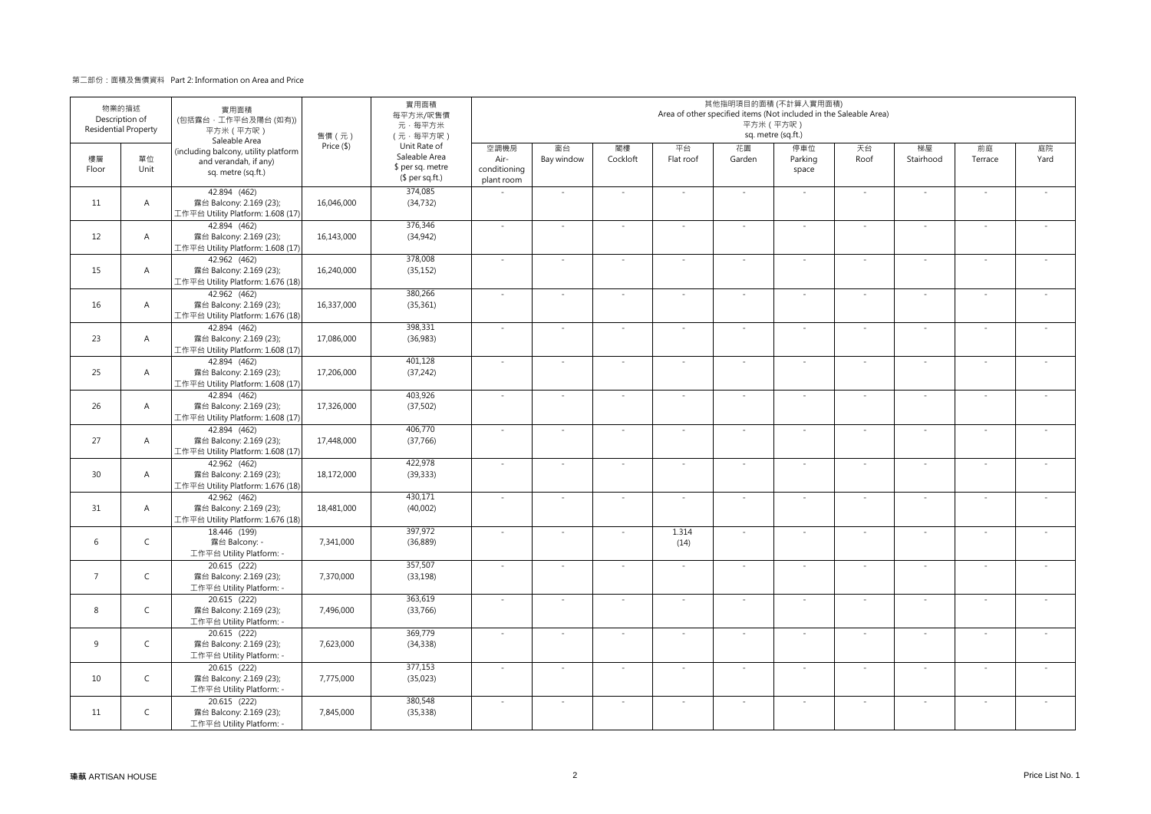### 第二部份:面積及售價資料 Part 2: Information on Area and Price

| <b>Residential Property</b> | 物業的描述<br>Description of | 實用面積<br>(包括露台,工作平台及陽台(如有))<br>平方米 (平方呎)<br>Saleable Area                            | 實用面積<br>每平方米/呎售價<br>元·每平方米<br>(元·每平方呎) | 其他指明項目的面積 (不計算入實用面積)<br>Area of other specified items (Not included in the Saleable Area)<br>平方米 (平方呎)<br>sq. metre (sq.ft.) |                                            |                          |                |                          |                          |                         |                |                          |                |            |
|-----------------------------|-------------------------|-------------------------------------------------------------------------------------|----------------------------------------|------------------------------------------------------------------------------------------------------------------------------|--------------------------------------------|--------------------------|----------------|--------------------------|--------------------------|-------------------------|----------------|--------------------------|----------------|------------|
| 樓層<br>Floor                 | 單位<br>Unit              | (including balcony, utility platform<br>and verandah, if any)<br>sq. metre (sq.ft.) | Price (\$)                             | Unit Rate of<br>Saleable Area<br>\$ per sq. metre<br>$$$ per sq.ft.)                                                         | 空調機房<br>Air-<br>conditioning<br>plant room | 窗台<br>Bay window         | 閣樓<br>Cockloft | 平台<br>Flat roof          | 花園<br>Garden             | 停車位<br>Parking<br>space | 天台<br>Roof     | 梯屋<br>Stairhood          | 前庭<br>Terrace  | 庭院<br>Yard |
| 11                          | A                       | 42.894 (462)<br>露台 Balcony: 2.169 (23);<br>工作平台 Utility Platform: 1.608 (17)        | 16,046,000                             | 374.085<br>(34, 732)                                                                                                         |                                            | $\sim$                   | $\sim$         | $\sim$                   | $\sim$                   | $\sim$                  | $\sim$         | $\sim$                   | $\sim$         |            |
| 12                          | A                       | 42.894 (462)<br>露台 Balcony: 2.169 (23);<br>工作平台 Utility Platform: 1.608 (17)        | 16,143,000                             | 376,346<br>(34, 942)                                                                                                         | $\sim$                                     | $\overline{a}$           | $\sim$         | $\overline{a}$           | ÷,                       | $\sim$                  | $\mathbf{r}$   | $\sim$                   | $\overline{a}$ |            |
| 15                          | A                       | 42.962 (462)<br>露台 Balcony: 2.169 (23);<br>工作平台 Utility Platform: 1.676 (18)        | 16,240,000                             | 378,008<br>(35, 152)                                                                                                         | $\sim$                                     | $\sim$                   | ÷.             | ÷.                       | $\sim$                   | ÷.                      | $\overline{a}$ | $\overline{\phantom{a}}$ |                |            |
| 16                          | A                       | 42.962 (462)<br>露台 Balcony: 2.169 (23);<br>工作平台 Utility Platform: 1.676 (18)        | 16,337,000                             | 380,266<br>(35, 361)                                                                                                         | $\sim$                                     | $\overline{\phantom{a}}$ | $\sim$         | $\overline{\phantom{a}}$ | ÷,                       | $\sim$                  | ÷,             | $\overline{\phantom{a}}$ | $\sim$         |            |
| 23                          | $\overline{A}$          | 42.894 (462)<br>露台 Balcony: 2.169 (23);<br>工作平台 Utility Platform: 1.608 (17)        | 17.086.000                             | 398,331<br>(36,983)                                                                                                          | $\sim$                                     | ÷,                       | $\bar{z}$      | L.                       | $\omega$                 | $\sim$                  | ä,             | $\sim$                   | $\bar{z}$      | $\sim$     |
| 25                          | $\overline{A}$          | 42.894 (462)<br>露台 Balcony: 2.169 (23);<br>工作平台 Utility Platform: 1.608 (17)        | 17,206,000                             | 401,128<br>(37, 242)                                                                                                         | $\sim$                                     | $\sim$                   | $\sim$         | $\overline{\phantom{a}}$ | $\sim$                   | $\sim$                  | $\sim$         | $\sim$                   | $\sim$         |            |
| 26                          | $\overline{A}$          | 42.894 (462)<br>露台 Balcony: 2.169 (23);<br>工作平台 Utility Platform: 1.608 (17)        | 17,326,000                             | 403,926<br>(37, 502)                                                                                                         | $\omega$                                   | $\sim$                   | $\omega$       | $\overline{\phantom{a}}$ | $\sim$                   | $\sim$                  | $\sim$         | $\sim$                   | $\sim$         | $\sim$     |
| 27                          | $\mathsf{A}$            | 42.894 (462)<br>露台 Balcony: 2.169 (23);<br>工作平台 Utility Platform: 1.608 (17)        | 17,448,000                             | 406,770<br>(37,766)                                                                                                          | $\omega$                                   | $\sim$                   | $\omega$       | $\overline{\phantom{a}}$ | $\sim$                   | $\sim$                  | $\sim$         | $\sim$                   | $\omega$       | $\omega$   |
| 30                          | $\mathsf{A}$            | 42.962 (462)<br>露台 Balcony: 2.169 (23);<br>工作平台 Utility Platform: 1.676 (18)        | 18.172.000                             | 422,978<br>(39, 333)                                                                                                         | $\sim$                                     | $\sim$                   | $\bar{z}$      | L.                       | $\overline{\phantom{a}}$ | $\sim$                  | $\sim$         | $\sim$                   | $\sim$         | $\sim$     |
| 31                          | $\overline{A}$          | 42.962 (462)<br>露台 Balcony: 2.169 (23);<br>工作平台 Utility Platform: 1.676 (18)        | 18,481,000                             | 430,171<br>(40,002)                                                                                                          | $\sim$                                     | $\sim$                   | $\bar{z}$      | $\overline{\phantom{a}}$ | $\omega$                 | $\sim$                  | $\sim$         | $\overline{\phantom{a}}$ | $\sim$         | $\sim$     |
| 6                           | $\mathsf{C}$            | 18.446 (199)<br>露台 Balcony: -<br>工作平台 Utility Platform: -                           | 7.341.000                              | 397,972<br>(36, 889)                                                                                                         | $\sim$                                     | $\mathcal{L}$            | ÷.             | 1.314<br>(14)            | $\sim$                   | $\sim$                  | $\sim$         | $\sim$                   | $\sim$         | $\sim$     |
| $7\overline{ }$             | $\mathsf{C}$            | 20.615 (222)<br>露台 Balcony: 2.169 (23);<br>工作平台 Utility Platform: -                 | 7,370,000                              | 357,507<br>(33, 198)                                                                                                         | $\sim$                                     | $\sim$                   | $\sim$         | $\overline{\phantom{a}}$ | ÷.                       | $\sim$                  | $\sim$         | $\overline{\phantom{a}}$ | $\sim$         | $\sim$     |
| 8                           | $\mathsf{C}$            | 20.615 (222)<br>露台 Balcony: 2.169 (23);<br>工作平台 Utility Platform: -                 | 7,496,000                              | 363,619<br>(33, 766)                                                                                                         | $\omega$                                   | $\sim$                   | ÷.             | L.                       | ÷.                       | $\sim$                  | $\sim$         | $\sim$                   | $\sim$         | $\sim$     |
| 9                           | $\mathsf{C}$            | 20.615 (222)<br>露台 Balcony: 2.169 (23);<br>工作平台 Utility Platform: -                 | 7,623,000                              | 369,779<br>(34, 338)                                                                                                         | $\sim$                                     | $\sim$                   | $\sim$         | $\overline{\phantom{a}}$ | $\sim$                   | $\sim$                  | $\sim$         | $\sim$                   | $\sim$         |            |
| 10                          | $\mathsf C$             | 20.615 (222)<br>露台 Balcony: 2.169 (23);<br>工作平台 Utility Platform: -                 | 7,775,000                              | 377,153<br>(35, 023)                                                                                                         | $\sim$                                     | $\sim$                   | $\sim$         | $\overline{\phantom{a}}$ | $\ddot{\phantom{a}}$     | $\sim$                  | $\sim$         | $\sim$                   | $\sim$         | $\sim$     |
| 11                          | $\mathsf C$             | 20.615 (222)<br>露台 Balcony: 2.169 (23);<br>工作平台 Utility Platform: -                 | 7,845,000                              | 380,548<br>(35, 338)                                                                                                         | $\omega$                                   | $\sim$                   | $\bar{z}$      | $\overline{\phantom{a}}$ | $\sim$                   | $\sim$                  | $\sim$         | $\sim$                   | $\sim$         | $\omega$   |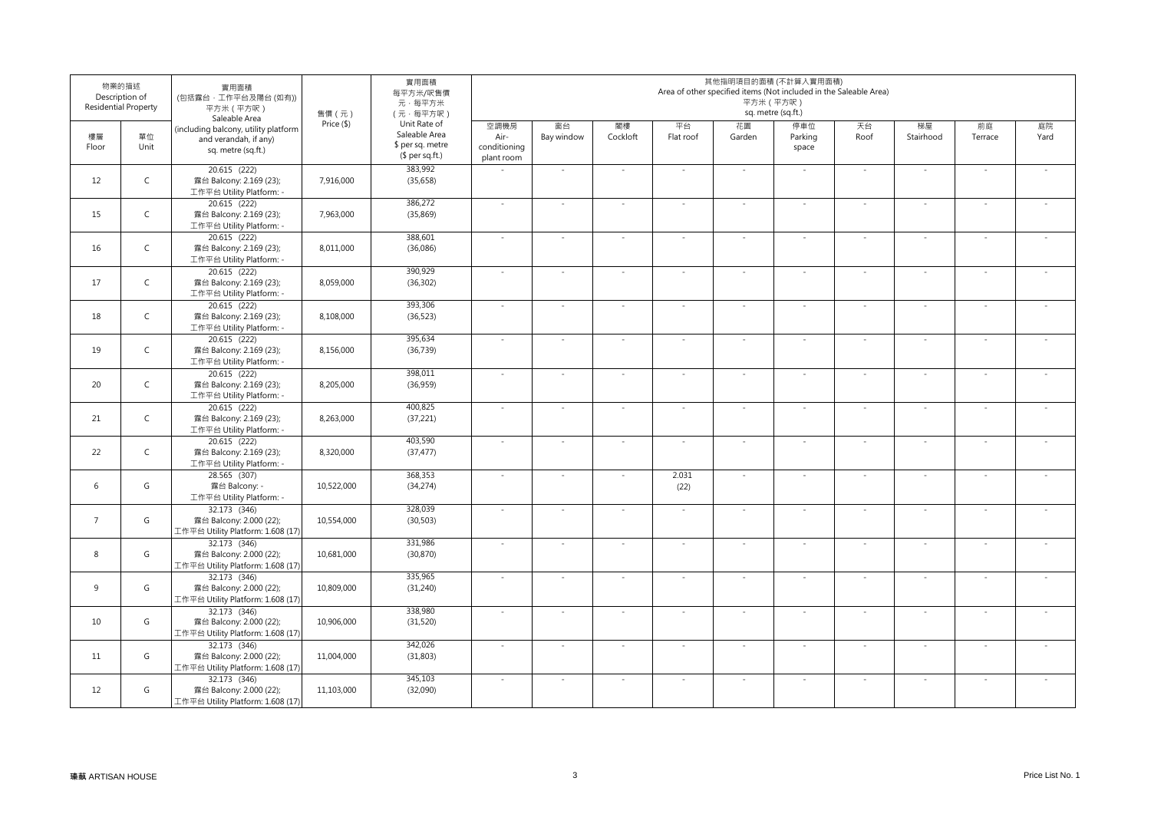|                | 物業的描述<br>Description of<br><b>Residential Property</b> | 實用面積<br>(包括露台,工作平台及陽台(如有))<br>平方米 (平方呎)<br>Saleable Area                            | 售價 (元)     | 實用面積<br>每平方米/呎售價<br>元·每平方米<br>(元·每平方呎)                               |                                            |                  |                |                          |              | 其他指明項目的面積 (不計算入實用面積)<br>Area of other specified items (Not included in the Saleable Area)<br>平方米 (平方呎)<br>sq. metre (sq.ft.) |                |                          |                          |            |
|----------------|--------------------------------------------------------|-------------------------------------------------------------------------------------|------------|----------------------------------------------------------------------|--------------------------------------------|------------------|----------------|--------------------------|--------------|------------------------------------------------------------------------------------------------------------------------------|----------------|--------------------------|--------------------------|------------|
| 樓層<br>Floor    | 單位<br>Unit                                             | (including balcony, utility platform<br>and verandah, if any)<br>sq. metre (sq.ft.) | Price (\$) | Unit Rate of<br>Saleable Area<br>\$ per sq. metre<br>$$$ per sq.ft.) | 空調機房<br>Air-<br>conditioning<br>plant room | 窗台<br>Bay window | 閣樓<br>Cockloft | 平台<br>Flat roof          | 花園<br>Garden | 停車位<br>Parking<br>space                                                                                                      | 天台<br>Roof     | 梯屋<br>Stairhood          | 前庭<br>Terrace            | 庭院<br>Yard |
| 12             | $\mathsf C$                                            | 20.615 (222)<br>露台 Balcony: 2.169 (23);<br>工作平台 Utility Platform: -                 | 7,916,000  | 383,992<br>(35, 658)                                                 |                                            |                  | $\sim$         | $\sim$                   | $\sim$       | ÷.                                                                                                                           | $\sim$         | $\sim$                   | $\bar{z}$                | $\sim$     |
| 15             | $\mathsf C$                                            | 20.615 (222)<br>露台 Balcony: 2.169 (23);<br>工作平台 Utility Platform: -                 | 7,963,000  | 386,272<br>(35, 869)                                                 | $\sim$                                     |                  | $\sim$         | $\sim$                   | $\sim$       | ÷.                                                                                                                           | $\sim$         | $\sim$                   | $\sim$                   | ÷.         |
| 16             | $\mathsf{C}$                                           | 20.615 (222)<br>露台 Balcony: 2.169 (23);<br>工作平台 Utility Platform: -                 | 8,011,000  | 388,601<br>(36,086)                                                  | $\sim$                                     | $\sim$           | $\sim$         | $\sim$                   | $\sim$       | $\sim$                                                                                                                       | $\omega$       | $\sim$                   | $\omega$                 | $\sim$     |
| 17             | $\mathsf C$                                            | 20.615 (222)<br>露台 Balcony: 2.169 (23);<br>工作平台 Utility Platform: -                 | 8,059,000  | 390,929<br>(36, 302)                                                 | $\sim$                                     |                  | $\sim$         | $\sim$                   | $\sim$       | $\sim$                                                                                                                       | $\sim$         | $\sim$                   | $\bar{z}$                | $\sim$     |
| 18             | $\mathsf C$                                            | 20.615 (222)<br>露台 Balcony: 2.169 (23);<br>工作平台 Utility Platform: -                 | 8,108,000  | 393,306<br>(36, 523)                                                 | $\sim$                                     |                  | $\sim$         | $\sim$                   | $\sim$       | $\sim$                                                                                                                       | $\sim$         | $\sim$                   | $\overline{\phantom{a}}$ | $\sim$     |
| 19             | $\mathsf C$                                            | 20.615 (222)<br>露台 Balcony: 2.169 (23);<br>工作平台 Utility Platform: -                 | 8,156,000  | 395,634<br>(36, 739)                                                 | $\sim$                                     |                  | $\sim$         | $\sim$                   | $\sim$       | $\sim$                                                                                                                       | $\sim$         | $\sim$                   | $\sim$                   | $\sim$     |
| 20             | $\mathsf{C}$                                           | 20.615 (222)<br>露台 Balcony: 2.169 (23);<br>工作平台 Utility Platform: -                 | 8,205,000  | 398,011<br>(36,959)                                                  | $\sim$                                     |                  | $\sim$         | $\sim$                   | $\sim$       | $\sim$                                                                                                                       | $\omega$       | $\overline{\phantom{a}}$ | $\omega$                 | $\sim$     |
| 21             | $\mathsf C$                                            | 20.615 (222)<br>露台 Balcony: 2.169 (23);<br>工作平台 Utility Platform: -                 | 8,263,000  | 400,825<br>(37, 221)                                                 | $\sim$                                     |                  | $\sim$         | $\sim$                   | $\sim$       | $\sim$                                                                                                                       | $\sim$         | $\sim$                   | $\overline{\phantom{a}}$ | $\sim$     |
| 22             | $\mathsf C$                                            | 20.615 (222)<br>露台 Balcony: 2.169 (23);<br>工作平台 Utility Platform: -                 | 8,320,000  | 403,590<br>(37, 477)                                                 | $\sim$                                     |                  | $\sim$         | $\sim$                   | $\sim$       | $\sim$                                                                                                                       | $\sim$         | $\sim$                   | $\overline{\phantom{a}}$ | $\sim$     |
| 6              | G                                                      | 28.565 (307)<br>露台 Balcony: -<br>工作平台 Utility Platform: -                           | 10,522,000 | 368,353<br>(34, 274)                                                 | $\sim$                                     |                  | $\sim$         | 2.031<br>(22)            | $\sim$       | $\sim$                                                                                                                       | $\sim$         | $\sim$                   | $\sim$                   | $\sim$     |
| $\overline{7}$ | G                                                      | 32.173 (346)<br>露台 Balcony: 2.000 (22);<br>工作平台 Utility Platform: 1.608 (17)        | 10,554,000 | 328,039<br>(30, 503)                                                 | $\sim$                                     |                  | $\sim$         | $\overline{\phantom{a}}$ | $\sim$       | $\sim$                                                                                                                       | $\omega$       | $\overline{\phantom{a}}$ | $\omega$                 | $\sim$     |
| 8              | G                                                      | 32.173 (346)<br>露台 Balcony: 2.000 (22);<br>工作平台 Utility Platform: 1.608 (17)        | 10,681,000 | 331,986<br>(30, 870)                                                 | $\sim$                                     |                  | $\sim$         | $\sim$                   | $\sim$       | $\overline{\phantom{a}}$                                                                                                     | $\blacksquare$ | $\overline{\phantom{a}}$ | $\overline{\phantom{a}}$ | $\sim$     |
| 9              | G                                                      | 32.173 (346)<br>露台 Balcony: 2.000 (22);<br>工作平台 Utility Platform: 1.608 (17)        | 10,809,000 | 335,965<br>(31, 240)                                                 | $\sim$                                     |                  | $\sim$         |                          | $\sim$       | $\sim$                                                                                                                       | $\sim$         | $\sim$                   | $\overline{\phantom{a}}$ | $\sim$     |
| 10             | G                                                      | 32.173 (346)<br>露台 Balcony: 2.000 (22);<br>工作平台 Utility Platform: 1.608 (17)        | 10,906,000 | 338,980<br>(31, 520)                                                 | $\sim$                                     | $\sim$           | $\sim$         | $\sim$                   | $\sim$       | $\sim$                                                                                                                       | $\sim$         | $\sim$                   | $\omega$                 | $\sim$     |
| 11             | G                                                      | 32.173 (346)<br>露台 Balcony: 2.000 (22);<br>工作平台 Utility Platform: 1.608 (17)        | 11,004,000 | 342,026<br>(31, 803)                                                 | $\sim$                                     | $\sim$           | $\sim$         | $\overline{\phantom{a}}$ | $\sim$       | $\sim$                                                                                                                       | $\omega$       | $\overline{\phantom{a}}$ | $\omega$                 | $\sim$     |
| 12             | G                                                      | 32.173 (346)<br>露台 Balcony: 2.000 (22);<br>工作平台 Utility Platform: 1.608 (17)        | 11,103,000 | 345,103<br>(32,090)                                                  | $\sim$                                     |                  | $\sim$         |                          | $\sim$       | $\overline{\phantom{a}}$                                                                                                     | $\sim$         | $\overline{\phantom{a}}$ | $\sim$                   | $\sim$     |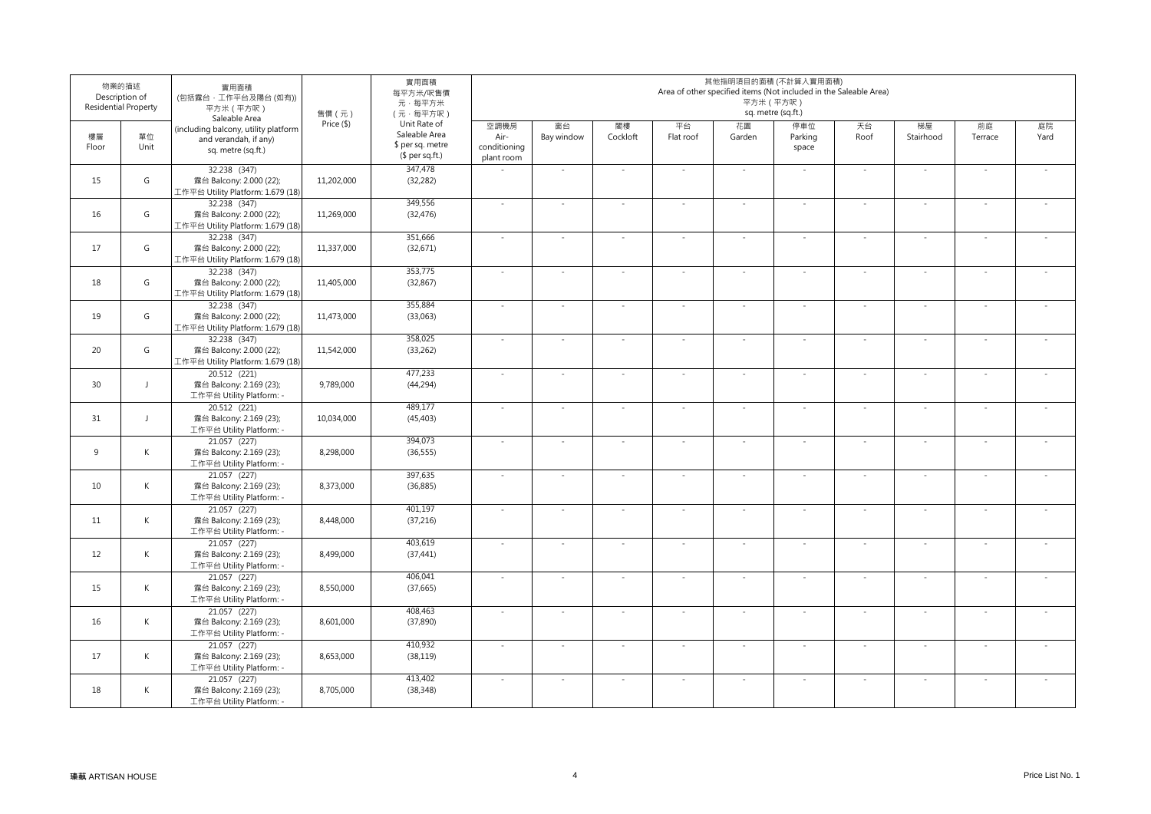|             | 物業的描述<br>Description of<br><b>Residential Property</b> | 實用面積<br>(包括露台,工作平台及陽台(如有))<br>平方米 (平方呎)<br>Saleable Area                            | 售價 (元)     | 實用面積<br>每平方米/呎售價<br>元·每平方米<br>(元·每平方呎)                               |                                            |                  |                |                 | 其他指明項目的面積 (不計算入實用面積)<br>Area of other specified items (Not included in the Saleable Area)<br>平方米 (平方呎) | sq. metre (sq.ft.)      |                |                          |               |            |
|-------------|--------------------------------------------------------|-------------------------------------------------------------------------------------|------------|----------------------------------------------------------------------|--------------------------------------------|------------------|----------------|-----------------|--------------------------------------------------------------------------------------------------------|-------------------------|----------------|--------------------------|---------------|------------|
| 樓層<br>Floor | 單位<br>Unit                                             | (including balcony, utility platform<br>and verandah, if any)<br>sq. metre (sq.ft.) | Price (\$) | Unit Rate of<br>Saleable Area<br>\$ per sq. metre<br>$$$ per sq.ft.) | 空調機房<br>Air-<br>conditioning<br>plant room | 窗台<br>Bay window | 閣樓<br>Cockloft | 平台<br>Flat roof | 花園<br>Garden                                                                                           | 停車位<br>Parking<br>space | 天台<br>Roof     | 梯屋<br>Stairhood          | 前庭<br>Terrace | 庭院<br>Yard |
| 15          | G                                                      | 32.238 (347)<br>露台 Balcony: 2.000 (22);<br>工作平台 Utility Platform: 1.679 (18)        | 11,202,000 | 347,478<br>(32, 282)                                                 | $\sim$                                     | $\sim$           | $\sim$         | $\sim$          | $\sim$                                                                                                 | $\sim$                  | $\sim$         | $\sim$                   | $\omega$      | $\sim$     |
| 16          | G                                                      | 32.238 (347)<br>露台 Balcony: 2.000 (22);<br>工作平台 Utility Platform: 1.679 (18)        | 11,269,000 | 349,556<br>(32, 476)                                                 | $\sim$                                     | $\sim$           | $\sim$         | ÷,              | $\sim$                                                                                                 | $\sim$                  | $\sim$         | $\sim$                   | $\sim$        | $\sim$     |
| 17          | G                                                      | 32.238 (347)<br>露台 Balcony: 2.000 (22);<br>工作平台 Utility Platform: 1.679 (18)        | 11,337,000 | 351,666<br>(32, 671)                                                 | $\sim$                                     | $\sim$           | $\sim$         |                 | $\sim$                                                                                                 | ÷.                      | $\sim$         | $\sim$                   | $\sim$        | $\sim$     |
| 18          | G                                                      | 32.238 (347)<br>露台 Balcony: 2.000 (22);<br>工作平台 Utility Platform: 1.679 (18)        | 11,405,000 | 353,775<br>(32, 867)                                                 | $\sim$                                     | $\sim$           | $\sim$         | $\sim$          | $\omega$                                                                                               | $\sim$                  | $\omega$       | $\overline{\phantom{a}}$ | $\omega$      | $\sim$     |
| 19          | G                                                      | 32.238 (347)<br>露台 Balcony: 2.000 (22);<br>工作平台 Utility Platform: 1.679 (18)        | 11,473,000 | 355,884<br>(33,063)                                                  | $\sim$                                     | $\sim$           | $\sim$         | $\sim$          | $\sim$                                                                                                 | $\sim$                  | $\sim$         | $\overline{\phantom{a}}$ | $\omega$      | $\sim$     |
| 20          | G                                                      | 32.238 (347)<br>露台 Balcony: 2.000 (22);<br>工作平台 Utility Platform: 1.679 (18)        | 11,542,000 | 358,025<br>(33, 262)                                                 | $\sim$                                     | $\sim$           | $\sim$         | $\sim$          | $\sim$                                                                                                 | $\sim$                  | $\sim$         | $\sim$                   | $\sim$        | $\sim$     |
| 30          | $\mathbf{J}$                                           | 20.512 (221)<br>露台 Balcony: 2.169 (23);<br>工作平台 Utility Platform: -                 | 9,789,000  | 477,233<br>(44, 294)                                                 | $\omega$                                   | $\sim$           | $\sim$         | $\sim$          | $\omega$                                                                                               | $\sim$                  | $\sim$         | $\sim$                   | $\sim$        | $\sim$     |
| 31          | $\mathbf{J}$                                           | 20.512 (221)<br>露台 Balcony: 2.169 (23);<br>工作平台 Utility Platform: -                 | 10,034,000 | 489,177<br>(45, 403)                                                 | $\sim$                                     | $\sim$           | $\sim$         | $\sim$          | $\sim$                                                                                                 | $\sim$                  | $\sim$         | $\sim$                   | ÷.            | $\sim$     |
| 9           | $\mathsf{K}$                                           | 21.057 (227)<br>露台 Balcony: 2.169 (23);<br>工作平台 Utility Platform: -                 | 8.298.000  | 394,073<br>(36, 555)                                                 | $\sim$                                     | $\sim$           | $\sim$         | $\sim$          | $\sim$                                                                                                 | $\sim$                  | $\sim$         | $\overline{\phantom{a}}$ | $\omega$      | $\sim$     |
| 10          | $\mathsf{K}$                                           | 21.057 (227)<br>露台 Balcony: 2.169 (23);<br>工作平台 Utility Platform: -                 | 8.373.000  | 397,635<br>(36, 885)                                                 | $\sim$                                     | $\sim$           | $\sim$         | $\sim$          | $\sim$                                                                                                 | $\sim$                  | $\omega$       | $\overline{\phantom{a}}$ | $\omega$      | $\sim$     |
| 11          | K                                                      | $21.057$ (227)<br>露台 Balcony: 2.169 (23);<br>工作平台 Utility Platform: -               | 8,448,000  | 401,197<br>(37, 216)                                                 | $\sim$                                     | $\sim$           | $\sim$         | $\sim$          | $\omega$                                                                                               | $\sim$                  | $\sim$         | $\sim$                   | $\sim$        | $\sim$     |
| 12          | $\mathsf K$                                            | 21.057 (227)<br>露台 Balcony: 2.169 (23);<br>工作平台 Utility Platform: -                 | 8,499,000  | 403,619<br>(37, 441)                                                 | $\sim$                                     | $\sim$           | $\sim$         | $\sim$          | $\sim$                                                                                                 | $\sim$                  | $\sim$         | $\overline{\phantom{a}}$ | $\sim$        | $\sim$     |
| 15          | $\mathsf{K}$                                           | 21.057 (227)<br>露台 Balcony: 2.169 (23);<br>工作平台 Utility Platform: -                 | 8,550,000  | 406,041<br>(37, 665)                                                 | $\sim$                                     | $\sim$           | $\sim$         | $\sim$          | $\sim$                                                                                                 | $\sim$                  | $\sim$         | $\overline{\phantom{a}}$ | $\omega$      | $\sim$     |
| 16          | $\mathsf{K}$                                           | 21.057 (227)<br>露台 Balcony: 2.169 (23);<br>工作平台 Utility Platform: -                 | 8,601,000  | 408,463<br>(37, 890)                                                 | $\sim$                                     | $\sim$           | $\sim$         | $\sim$          | $\omega$                                                                                               | $\omega$                | $\mathbb{R}^2$ | $\sim$                   | $\sim$        | $\sim$     |
| 17          | $\mathsf{K}$                                           | 21.057 (227)<br>露台 Balcony: 2.169 (23);<br>工作平台 Utility Platform: -                 | 8.653.000  | 410,932<br>(38, 119)                                                 | $\sim$                                     | $\sim$           | $\sim$         | $\sim$          | $\omega$                                                                                               | $\omega$                | $\omega$       | $\overline{\phantom{a}}$ | $\omega$      | $\sim$     |
| 18          | K                                                      | 21.057 (227)<br>露台 Balcony: 2.169 (23);<br>工作平台 Utility Platform: -                 | 8,705,000  | 413,402<br>(38, 348)                                                 | $\sim$                                     | $\sim$           | $\sim$         | $\sim$          | $\omega$                                                                                               | $\sim$                  | $\sim$         | $\overline{\phantom{a}}$ | $\omega$      | $\sim$     |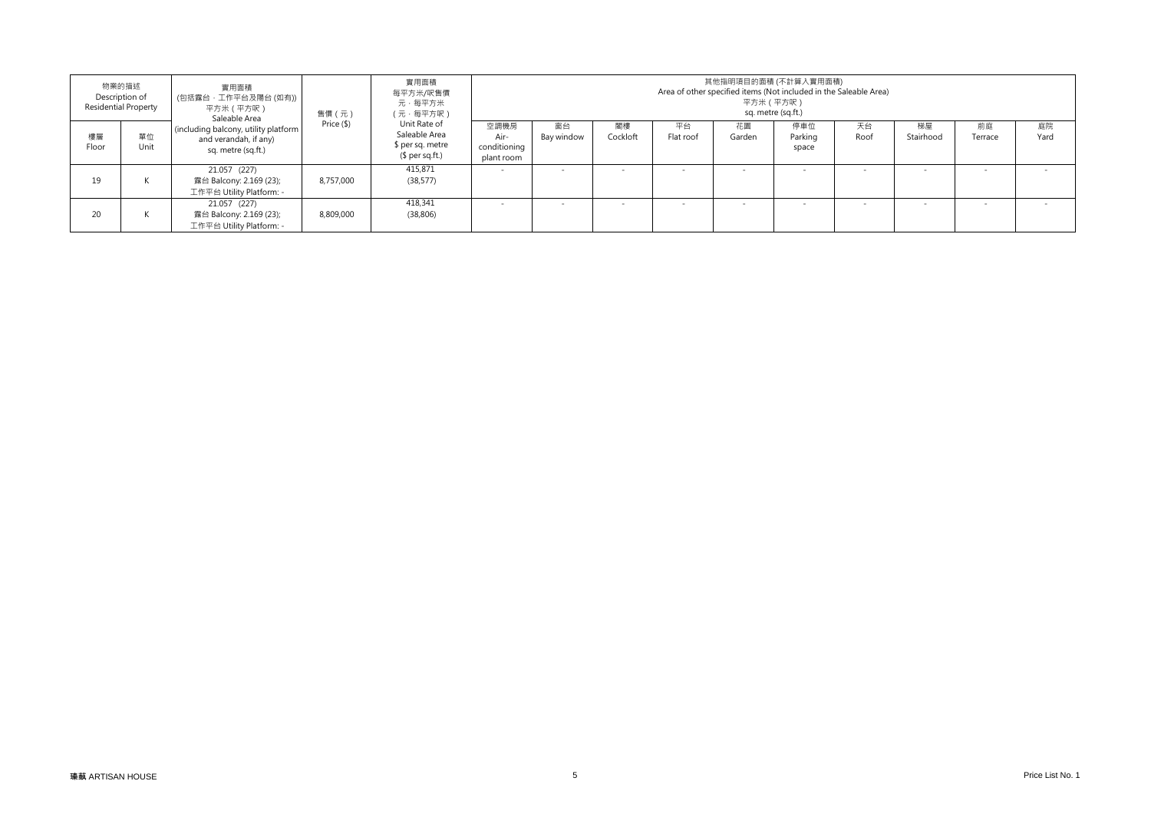|             | 物業的描述<br>Description of<br><b>Residential Property</b> | 實用面積<br>(包括露台,工作平台及陽台 (如有))<br>平方米(平方呎)<br>Saleable Area                            | 售價 (元)     | 實用面積<br>每平方米/呎售價<br>元·每平方米<br>(元·每平方呎)                               | 其他指明項目的面積 (不計算入實用面積)<br>Area of other specified items (Not included in the Saleable Area)<br>平方米(平方呎)<br>sq. metre (sq.ft.) |                  |                |                 |              |                         |            |                          |               |            |  |  |
|-------------|--------------------------------------------------------|-------------------------------------------------------------------------------------|------------|----------------------------------------------------------------------|-----------------------------------------------------------------------------------------------------------------------------|------------------|----------------|-----------------|--------------|-------------------------|------------|--------------------------|---------------|------------|--|--|
| 樓層<br>Floor | 單位<br>Unit                                             | (including balcony, utility platform<br>and verandah, if any)<br>sq. metre (sq.ft.) | Price (\$) | Unit Rate of<br>Saleable Area<br>\$ per sq. metre<br>$$$ per sq.ft.) | 空調機房<br>Air-<br>conditioning<br>plant room                                                                                  | 窗台<br>Bay window | 閣樓<br>Cockloft | 平台<br>Flat roof | 花園<br>Garden | 停車位<br>Parking<br>space | 天台<br>Roof | 梯屋<br>Stairhood          | 前庭<br>Terrace | 庭院<br>Yard |  |  |
| 19          |                                                        | 21.057 (227)<br>露台 Balcony: 2.169 (23);<br>工作平台 Utility Platform: -                 | 8.757.000  | 415,871<br>(38, 577)                                                 |                                                                                                                             |                  |                |                 |              |                         |            | $\overline{\phantom{a}}$ |               |            |  |  |
| 20          |                                                        | 21.057 (227)<br>露台 Balcony: 2.169 (23);<br>工作平台 Utility Platform: -                 | 8,809,000  | 418,341<br>(38, 806)                                                 |                                                                                                                             |                  |                |                 |              |                         |            | $\overline{\phantom{a}}$ |               |            |  |  |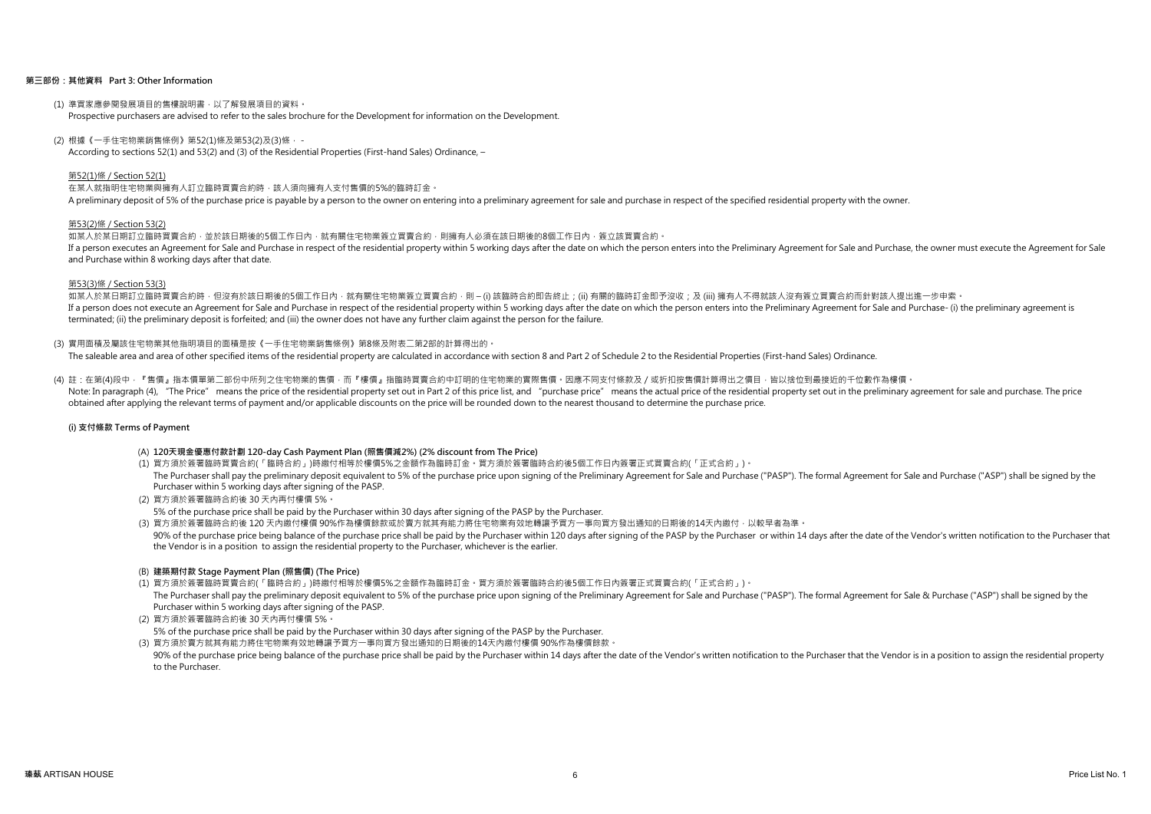### 第三部份:其他資料 Part 3: Other Information

- (1) 準買家應參閱發展項目的售樓說明書,以了解發展項目的資料。 Prospective purchasers are advised to refer to the sales brochure for the Development for information on the Development.
- (2) 根據《一手住宅物業銷售條例》第52(1)條及第53(2)及(3)條, -

According to sections 52(1) and 53(2) and (3) of the Residential Properties (First-hand Sales) Ordinance, –

### 第52(1)條 / Section 52(1)

在某人就指明住宅物業與擁有人訂立臨時買賣合約時,該人須向擁有人支付售價的5%的臨時訂金。

A preliminary deposit of 5% of the purchase price is payable by a person to the owner on entering into a preliminary agreement for sale and purchase in respect of the specified residential property with the owner.

### 第53(2)條 / Section 53(2)

如某人於某日期訂立臨時買賣合約,並於該日期後的5個工作日內,就有關住宅物業簽立買賣合約,則擁有人必須在該日期後的8個工作日內,簽立該買賣合約。 If a person executes an Agreement for Sale and Purchase in respect of the residential property within 5 working days after the date on which the person enters into the Preliminary Agreement for Sale and Purchase, the owner and Purchase within 8 working days after that date.

### 第53(3)條 / Section 53(3)

如某人於某日期訂立臨時買賣合約時,但沒有於該日期後的5個工作日内,就有關住宅物業簽立買賣合約,則 – (i) 該臨時合約即告終止;(ii) 有關的臨時訂金即予沒收;及 (iii) 擁有人不得就該人沒有簽立買賣合約而針對該人提出進一步申索。 If a person does not execute an Agreement for Sale and Purchase in respect of the residential property within 5 working days after the date on which the person enters into the Preliminary Agreement for Sale and Purchase- ( terminated; (ii) the preliminary deposit is forfeited; and (iii) the owner does not have any further claim against the person for the failure.

### (3) 實用面積及屬該住宅物業其他指明項目的面積是按《一手住宅物業銷售條例》第8條及附表二第2部的計算得出的。

The saleable area and area of other specified items of the residential property are calculated in accordance with section 8 and Part 2 of Schedule 2 to the Residential Properties (First-hand Sales) Ordinance.

### (4) 註:在第(4)段中,『售價』指本價單第二部份中所列之住宅物業的售價,而『樓價』指臨時買賣合約中訂明的住宅物業的實際售價。因應不同支付條款及/或折扣按售價計算得出之價目,皆以捨位到最接近的千位數作為樓價。

Note: In paragraph (4). "The Price" means the price of the residential property set out in Part 2 of this price list, and "purchase price" means the actual price of the residential property set out in the preliminary agree obtained after applying the relevant terms of payment and/or applicable discounts on the price will be rounded down to the nearest thousand to determine the purchase price.

### (i) 支付條款 Terms of Payment

### (A) 120天現金優惠付款計劃 120-day Cash Payment Plan (照售價減2%) (2% discount from The Price)

- (1) 買方須於簽署臨時買賣合約(「臨時合約」)時繳付相等於樓價5%之金額作為臨時訂金。買方須於簽署臨時合約後5個工作日內簽署正式買賣合約(「正式合約」)。 The Purchaser shall pay the preliminary deposit equivalent to 5% of the purchase price upon signing of the Preliminary Agreement for Sale and Purchase ("PASP"). The formal Agreement for Sale and Purchase ("ASP") shall be s Purchaser within 5 working days after signing of the PASP.
- (2) 買方須於簽署臨時合約後 30 天內再付樓價 5%。

5% of the purchase price shall be paid by the Purchaser within 30 days after signing of the PASP by the Purchaser.

(3) 買方須於簽署臨時合約後 120 天內繳付樓價 90%作為樓價餘款或於賣方就其有能力將住宅物業有效地轉讓予買方一事向買方發出通知的日期後的14天內繳付,以較早者為準。

90% of the purchase price being balance of the purchase price shall be paid by the Purchaser within 120 days after signing of the PASP by the Purchaser or within 14 days after the date of the Vendor's written notification the Vendor is in a position to assign the residential property to the Purchaser, whichever is the earlier.

### (B) 建築期付款 Stage Payment Plan (照售價) (The Price)

(1) 買方須於簽署臨時買賣合約(「臨時合約」)時繳付相等於樓價5%之金額作為臨時訂金。買方須於簽署臨時合約後5個工作日內簽署正式買賣合約(「正式合約」)。

The Purchaser shall pay the preliminary deposit equivalent to 5% of the purchase price upon signing of the Preliminary Agreement for Sale and Purchase ("PASP"). The formal Agreement for Sale & Purchase ("ASP") shall be sig Purchaser within 5 working days after signing of the PASP.

(2) 買方須於簽署臨時合約後 30 天內再付樓價 5%。

5% of the purchase price shall be paid by the Purchaser within 30 days after signing of the PASP by the Purchaser.

(3) 買方須於賣方就其有能力將住宅物業有效地轉讓予買方一事向買方發出通知的日期後的14天內繳付樓價 90%作為樓價餘款。

90% of the purchase price being balance of the purchase price shall be paid by the Purchaser within 14 days after the date of the Vendor's written notification to the Purchaser that the Vendor is in a position to assign th to the Purchaser.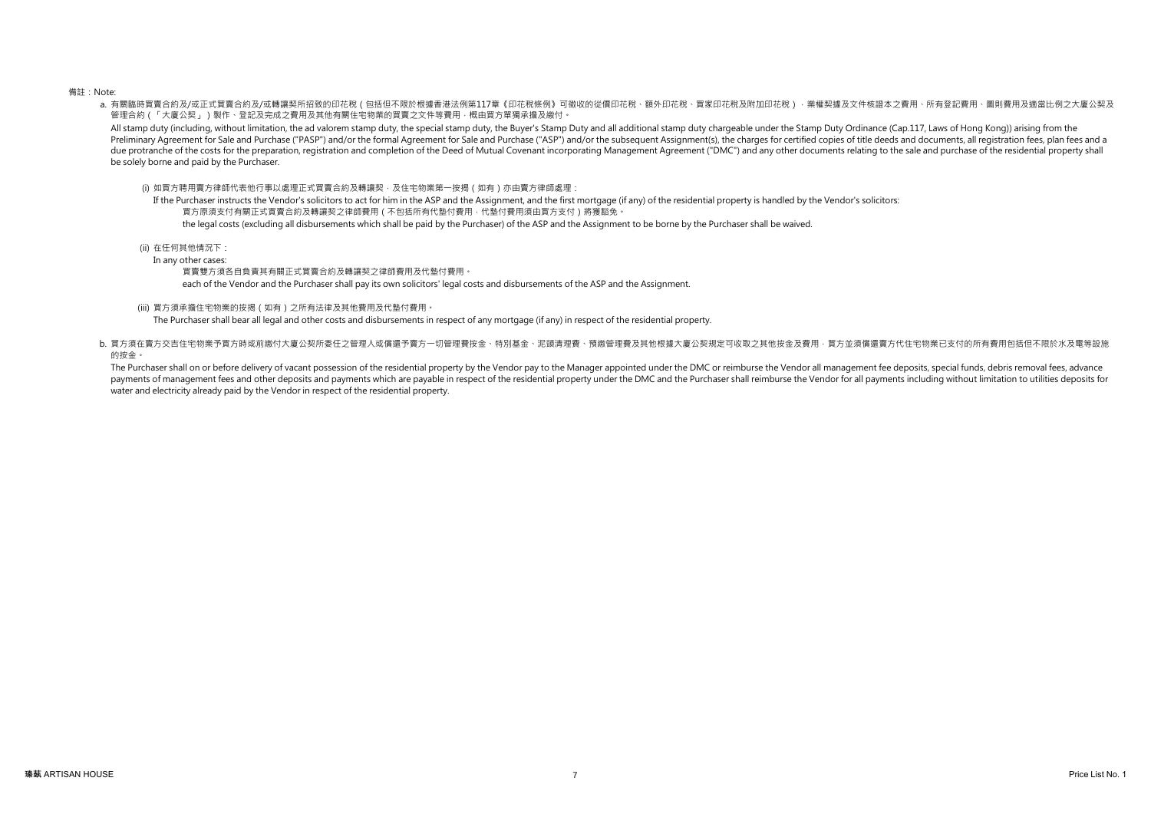### 備註:Note:

a. 有關臨時買賣合約及/或車讓契所招致的印花稅(包括但不限於根據香港法例第117章《印花稅條例》可徵收的從價印花稅、額外印花稅、買家印花稅及附加印花稅)‧業權契據及文件核證本之費用、所有登記費用、圖則費用及適當比例之大廈公契及 管理合約(「大廈公契」)製作、登記及完成之費用及其他有關住宅物業的買賣之文件等費用,概由買方單獨承擔及繳付。

All stamp duty (including, without limitation, the ad valorem stamp duty, the special stamp duty, the Buyer's Stamp Duty and all additional stamp duty chargeable under the Stamp Duty Ordinance (Cap.117, Laws of Hong Kong)) Preliminary Agreement for Sale and Purchase ("PASP") and/or the formal Agreement for Sale and Purchase ("ASP") and/or the subsequent Assignment(s). the charges for certified copies of title deeds and documents, all registr due protranche of the costs for the preparation, registration and completion of the Deed of Mutual Covenant incorporating Management Agreement ("DMC") and any other documents relating to the sale and purchase of the reside be solely borne and paid by the Purchaser.

(i) 如買方聘用賣方律師代表他行事以處理正式買賣合約及轉讓契,及住宅物業第一按揭(如有)亦由賣方律師處理:

If the Purchaser instructs the Vendor's solicitors to act for him in the ASP and the Assignment, and the first mortgage (if any) of the residential property is handled by the Vendor's solicitors: 買方原須支付有關正式買賣合約及轉讓契之律師費用(不包括所有代墊付費用,代墊付費用須由買方支付)將獲豁免。 the legal costs (excluding all disbursements which shall be paid by the Purchaser) of the ASP and the Assignment to be borne by the Purchaser shall be waived.

(ii) 在任何其他情況下:

In any other cases:

買賣雙方須各自負責其有關正式買賣合約及轉讓契之律師費用及代墊付費用。

each of the Vendor and the Purchaser shall pay its own solicitors' legal costs and disbursements of the ASP and the Assignment.

(iii) 買方須承擔住宅物業的按揭(如有)之所有法律及其他費用及代墊付費用。

The Purchaser shall bear all legal and other costs and disbursements in respect of any mortgage (if any) in respect of the residential property.

b. 買方須在賣方交吉住宅物業予買方時或前繳付大廈公契所委任之管理人或償還予賣方一切管理費按金、特別基金、泥頭清理費、預繳管理費及其他根據大廈公契規定可收取之其他按金及費用,買方並須償還賣方代住宅物業已支付的所有費用包括但不限於水及電等設施 的按金。

The Purchaser shall on or before delivery of vacant possession of the residential property by the Vendor pay to the Manager appointed under the DMC or reimburse the Vendor all management fee deposits, special funds, debris payments of management fees and other deposits and payments which are payable in respect of the residential property under the DMC and the Purchaser shall reimburse the Vendor for all payments including without limitation water and electricity already paid by the Vendor in respect of the residential property.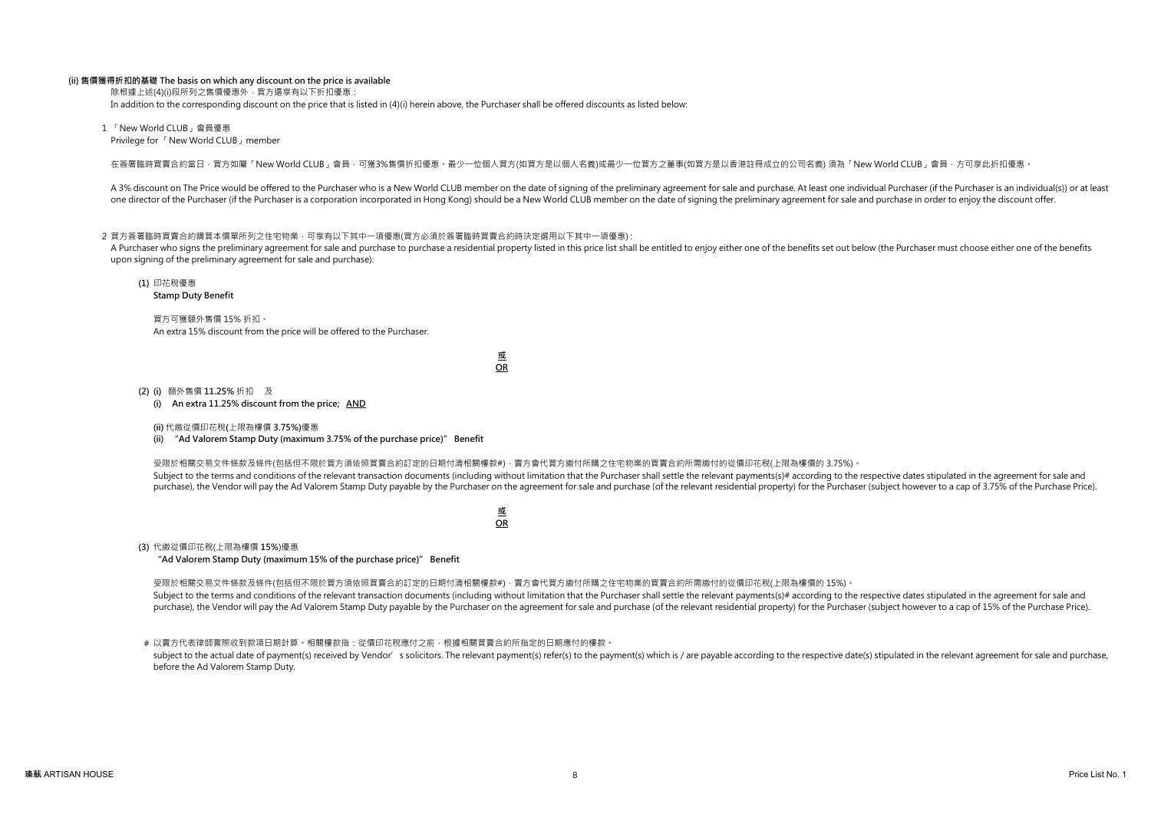### (ii) 售價獲得折扣的基礎 The basis on which any discount on the price is available

除根據上述(4)(i)段所列之售價優惠外, 買方還享有以下折扣優惠·

In addition to the corresponding discount on the price that is listed in (4)(i) herein above, the Purchaser shall be offered discounts as listed below:

1 「New World CLUB」會員優惠 Privilege for 「New World CLUB」member

在簽署臨時買賣合約當日,買方如屬「New World CLUB」會員,可獲3%售價折扣優惠。最少一位個人買方(如買方是以個人名義)或最少一位買方之董事(如買方是以香港註冊成立的公司名義) 須為「New World CLUB」會員,方可享此折扣優惠。

A 3% discount on The Price would be offered to the Purchaser who is a New World CLUB member on the date of signing of the preliminary agreement for sale and purchase. At least one individual Purchaser (if the Purchaser is one director of the Purchaser (if the Purchaser is a corporation incorporated in Hong Kong) should be a New World CLUB member on the date of signing the preliminary agreement for sale and purchase in order to enjoy the dis

### 2 買方簽署臨時買賣合約購買本價單所列之住宅物業,可享有以下其中一項優惠(買方必須於簽署臨時買賣合約時決定選用以下其中一項優惠);

A Purchaser who signs the preliminary agreement for sale and purchase to purchase a residential property listed in this price list shall be entitled to enjoy either one of the benefits set out below (the Purchaser must cho upon signing of the preliminary agreement for sale and purchase):

(1) 印花稅優惠

Stamp Duty Benefit

買方可獲額外售價 15% 折扣。 An extra 15% discount from the price will be offered to the Purchaser.

> 或 OR

(2) (i) 額外售價 11.25% 折扣 及

(i) An extra 11.25% discount from the price; AND

(ii) 代繳從價印花稅(上限為樓價 3.75%)優惠

(ii) "Ad Valorem Stamp Duty (maximum 3.75% of the purchase price)" Benefit

受限於相關交易文件條款及條件(包括但不限於買方須依照買賣合約訂定的日期付清相關樓款#),賣方會代買方繳付所購之住宅物業的買賣合約所需繳付的從價印花稅(上限為樓價的 3.75%)。 Subject to the terms and conditions of the relevant transaction documents (including without limitation that the Purchaser shall settle the relevant payments(s)# according to the respective dates stipulated in the agreemen purchase), the Vendor will pay the Ad Valorem Stamp Duty payable by the Purchaser on the agreement for sale and purchase (of the relevant residential property) for the Purchaser (subject however to a cap of 3.75% of the Pu

> 或 OR

(3) 代繳從價印花稅(上限為樓價 15%)優惠

"Ad Valorem Stamp Duty (maximum 15% of the purchase price)" Benefit

受限於相關交易文件條款及條件(包括但不限於買方須依照買賣合約訂定的日期付清相關樓款#),賣方會代買方繳付所購之住宅物業的買賣合約所需繳付的從價印花稅(上限為樓價的 15%)。 Subject to the terms and conditions of the relevant transaction documents (including without limitation that the Purchaser shall settle the relevant payments(s)# according to the respective dates stipulated in the agreemen purchase), the Vendor will pay the Ad Valorem Stamp Duty payable by the Purchaser on the agreement for sale and purchase (of the relevant residential property) for the Purchaser (subject however to a cap of 15% of the Purc

# 以賣方代表律師實際收到款項日期計算。相關樓款指:從價印花稅應付之前,根據相關買賣合約所指定的日期應付的樓款。 subject to the actual date of payment(s) received by Vendor' s solicitors. The relevant payment(s) refer(s) to the payment(s) which is / are payable according to the respective date(s) stipulated in the relevant agreement before the Ad Valorem Stamp Duty.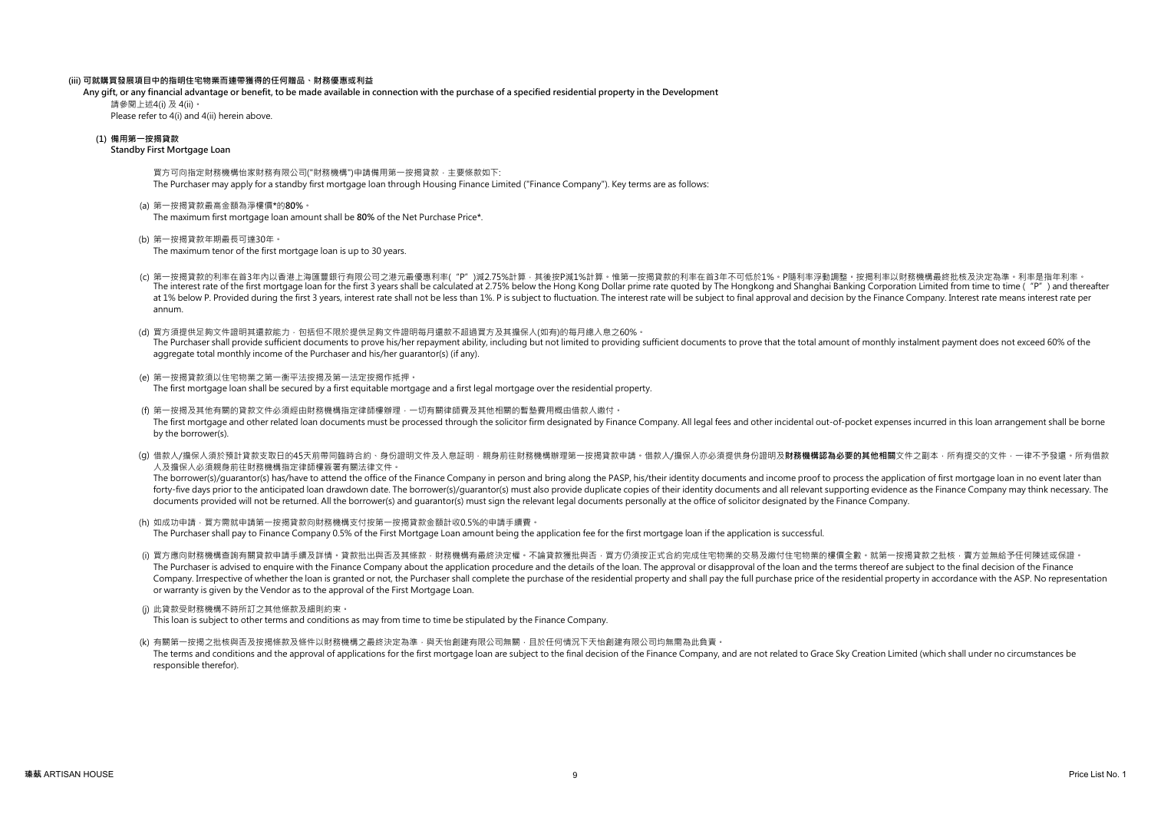### (iii) 可就購買發展項目中的指明住宅物業而連帶獲得的任何贈品、財務優惠或利益

Any gift, or any financial advantage or benefit, to be made available in connection with the purchase of a specified residential property in the Development

Please refer to 4(i) and 4(ii) herein above. 請參閱上述4(i) 及 4(ii)。

### (1) 備用第一按揭貸款

### Standby First Mortgage Loan

買方可向指定財務機構怡家財務有限公司("財務機構")申請備用第一按揭貸款,主要條款如下: The Purchaser may apply for a standby first mortgage loan through Housing Finance Limited ("Finance Company"). Key terms are as follows:

(a) 第一按揭貸款最高金額為淨樓價\*的80%。 The maximum first mortgage loan amount shall be 80% of the Net Purchase Price\*.

(b) 第一按揭貸款年期最長可達30年。

The maximum tenor of the first mortgage loan is up to 30 years.

- (c) 第一按揭貸款的利率在首3年內以香港上海匯豐銀行有限公司之港元最優惠利率("P")減2.75%計算,其後按P減1%計算。惟第一按揭貸款的利率在首3年不可低於1%。P隨利率浮動調整。按揭利率以財務機構最終批核及決定為準。利率是指年利率。 The interest rate of the first mortgage loan for the first 3 years shall be calculated at 2.75% below the Hong Kong Dollar prime rate guoted by The Hongkong and Shanghai Banking Corporation Limited from time to time ("P") at 1% below P. Provided during the first 3 years, interest rate shall not be less than 1%. P is subject to fluctuation. The interest rate will be subject to final approval and decision by the Finance Company. Interest rate annum.
- (d) 買方須提供足夠文件證明其還款能力,包括但不限於提供足夠文件證明每月還款不超過買方及其擔保人(如有)的每月總入息之60%。 The Purchaser shall provide sufficient documents to prove his/her repayment ability, including but not limited to providing sufficient documents to prove that the total amount of monthly instalment payment does not exceed aggregate total monthly income of the Purchaser and his/her guarantor(s) (if any).
- (e) 第一按揭貸款須以住宅物業之第一衡平法按揭及第一法定按揭作抵押。 The first mortgage loan shall be secured by a first equitable mortgage and a first legal mortgage over the residential property.
- (f) 第一按揭及其他有關的貸款文件必須經由財務機構指定律師樓辦理,一切有關律師費及其他相關的暫墊費用概由借款人繳付。 The first mortgage and other related loan documents must be processed through the solicitor firm designated by Finance Company. All legal fees and other incidental out-of-pocket expenses incurred in this loan arrangement s by the borrower(s).
- (g) 借款人/擔保人須於預計貸款支取日的45天前帶同臨時合約、身份證明文件及入息証明,親身前往財務機構辦理第一按揭貸款申請。借款人/擔保人亦必須提供身份證明及**財務機構認為必要的其他相關**文件之副本,所有提交的文件,一律不予發還。所有借款 人及擔保人必須親身前往財務機構指定律師樓簽署有關法律文件。

The borrower(s)/quarantor(s) has/have to attend the office of the Finance Company in person and bring along the PASP, his/their identity documents and income proof to process the application of first mortgage loan in no ev forty-five days prior to the anticipated loan drawdown date. The borrower(s)/quarantor(s) must also provide duplicate copies of their identity documents and all relevant supporting evidence as the Finance Company may think documents provided will not be returned. All the borrower(s) and guarantor(s) must sign the relevant legal documents personally at the office of solicitor designated by the Finance Company.

- (h) 如成功申請, 買方需就申請第一按揭貸款向財務機構支付按第一按揭貸款金額計收0.5%的申請手續費。 The Purchaser shall pay to Finance Company 0.5% of the First Mortgage Loan amount being the application fee for the first mortgage loan if the application is successful.
- (i) 買方應向財務機構查詢有關貸款申請手續及詳情。貸款批出與否及其條款,財務機構有最終決定權。不論貸款獲批與否,買方仍須按正式合約完成住宅物業的交易及繳付住宅物業的樓價全數。就第一按揭貸款之批核,賣方並無給予任何陳述或保證。 The Purchaser is advised to enquire with the Finance Company about the application procedure and the details of the loan. The approval or disapproval of the loan and the terms thereof are subject to the final decision of t Company. Irrespective of whether the loan is granted or not, the Purchaser shall complete the purchase of the residential property and shall pay the full purchase price of the residential property in accordance with the AS or warranty is given by the Vendor as to the approval of the First Mortgage Loan.
- (j) 此貸款受財務機構不時所訂之其他條款及細則約束。
- This loan is subject to other terms and conditions as may from time to time be stipulated by the Finance Company.
- (k) 有關第一按揭之批核與否及按揭條款及條件以財務機構之最終決定為準,與天怡創建有限公司無關,且於任何情況下天怡創建有限公司均無需為此負責。 The terms and conditions and the approval of applications for the first mortgage loan are subject to the final decision of the Finance Company, and are not related to Grace Sky Creation Limited (which shall under no circum responsible therefor).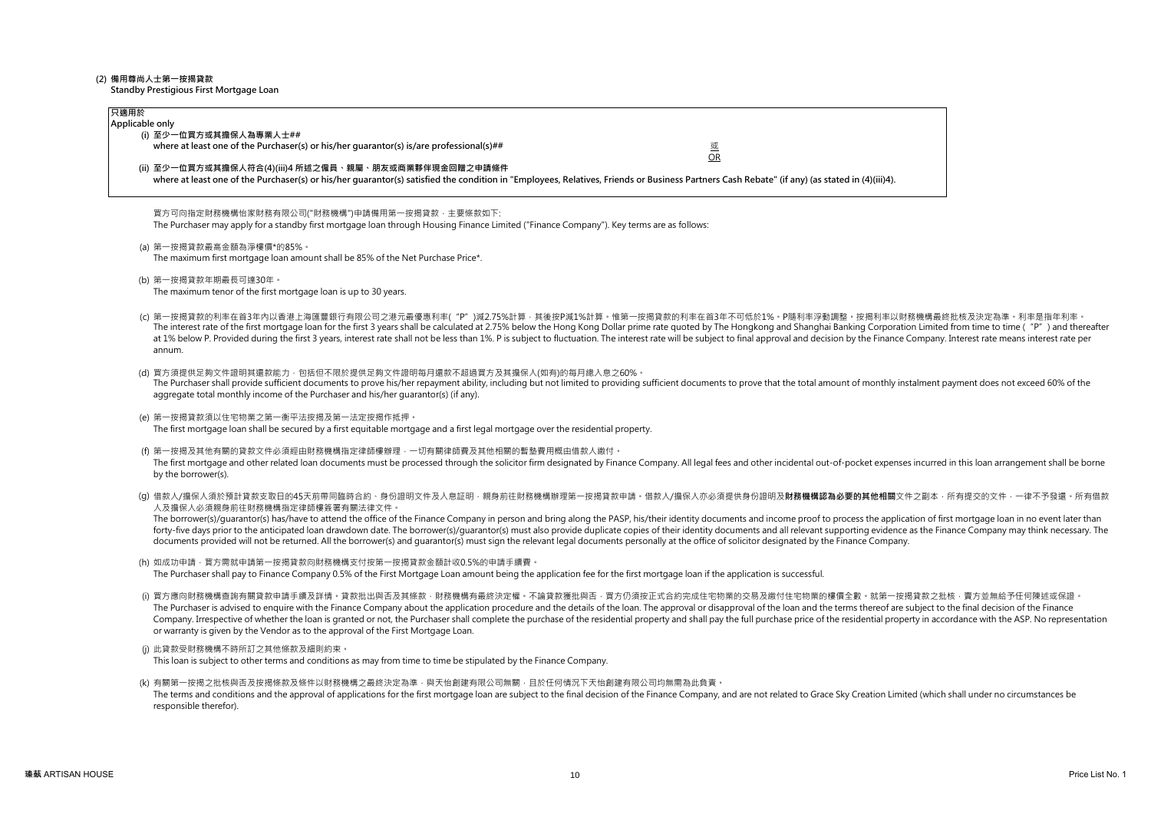## (2) 備用尊尚人士第一按揭貸款

Standby Prestigious First Mortgage Loan

| 只適用於<br>Applicable only                                                                                                                                                                                                                                                                                                                                                     |                                                                                                                                                                                                                                                                                                                                                                                                                                                                                                                                                                                                     |
|-----------------------------------------------------------------------------------------------------------------------------------------------------------------------------------------------------------------------------------------------------------------------------------------------------------------------------------------------------------------------------|-----------------------------------------------------------------------------------------------------------------------------------------------------------------------------------------------------------------------------------------------------------------------------------------------------------------------------------------------------------------------------------------------------------------------------------------------------------------------------------------------------------------------------------------------------------------------------------------------------|
| (i) 至少一位買方或其擔保人為專業人士##<br>where at least one of the Purchaser(s) or his/her quarantor(s) is/are professional(s)##<br>(ii) 至少一位買方或其擔保人符合(4)(iii)4 所述之僱員、親屬、朋友或商業夥伴現金回贈之申請條件<br>where at least one of the Purchaser(s) or his/her quarantor(s) satisfied the condition in "Employees, Relatives, Friends or Business Partners Cash Rebate" (if any) (as stated in (4)(iii)4). | 或<br><b>OR</b>                                                                                                                                                                                                                                                                                                                                                                                                                                                                                                                                                                                      |
| 買方可向指定財務機構怡家財務有限公司("財務機構")申請備用第一按揭貸款‧主要條款如下:<br>The Purchaser may apply for a standby first mortgage loan through Housing Finance Limited ("Finance Company"). Key terms are as follows:                                                                                                                                                                                    |                                                                                                                                                                                                                                                                                                                                                                                                                                                                                                                                                                                                     |
| (a) 第一按揭貸款最高金額為淨樓價*的85%。<br>The maximum first mortgage loan amount shall be 85% of the Net Purchase Price*.                                                                                                                                                                                                                                                                 |                                                                                                                                                                                                                                                                                                                                                                                                                                                                                                                                                                                                     |
| (b) 第一按揭貸款年期最長可達30年。<br>The maximum tenor of the first mortgage loan is up to 30 years.                                                                                                                                                                                                                                                                                     |                                                                                                                                                                                                                                                                                                                                                                                                                                                                                                                                                                                                     |
| annum.                                                                                                                                                                                                                                                                                                                                                                      | (c) 第一按揭貸款的利率在首3年内以香港上海匯豐銀行有限公司之港元最優惠利率("P")減2.75%計算‧其後按P減1%計算‧惟第一按揭貸款的利率在首3年不可低於1%‧P隨利率浮動調整‧按揭利率以財務機構最終批核及決定為準‧利率是指年利率‧<br>The interest rate of the first mortgage loan for the first 3 years shall be calculated at 2.75% below the Hong Kong Dollar prime rate quoted by The Hongkong and Shanghai Banking Corporation Limited from time to time ( "P")<br>at 1% below P. Provided during the first 3 years, interest rate shall not be less than 1%. P is subject to fluctuation. The interest rate will be subject to final approval and decision by the Finance Company. Interest rate        |
| (d) 買方須提供足夠文件證明其還款能力 · 包括但不限於提供足夠文件證明每月還款不超過買方及其擔保人(如有)的每月總入息之60% ·<br>aggregate total monthly income of the Purchaser and his/her quarantor(s) (if any).                                                                                                                                                                                                                   | The Purchaser shall provide sufficient documents to prove his/her repayment ability, including but not limited to providing sufficient documents to prove that the total amount of monthly instalment payment does not exceed                                                                                                                                                                                                                                                                                                                                                                       |
| (e) 第一按揭貸款須以住宅物業之第一衡平法按揭及第一法定按揭作抵押。<br>The first mortgage loan shall be secured by a first equitable mortgage and a first legal mortgage over the residential property.                                                                                                                                                                                                     |                                                                                                                                                                                                                                                                                                                                                                                                                                                                                                                                                                                                     |
| (f) 第一按揭及其他有關的貸款文件必須經由財務機構指定律師樓辦理 · 一切有關律師費及其他相關的暫墊費用概由借款人繳付 ·<br>by the borrower(s).                                                                                                                                                                                                                                                                                       | The first mortgage and other related loan documents must be processed through the solicitor firm designated by Finance Company. All legal fees and other incidental out-of-pocket expenses incurred in this loan arrangement s                                                                                                                                                                                                                                                                                                                                                                      |
| 人及擔保人必須親身前往財務機構指定律師樓簽署有關法律文件。<br>documents provided will not be returned. All the borrower(s) and quarantor(s) must sign the relevant legal documents personally at the office of solicitor designated by the Finance Company.                                                                                                                                              | (g) 借款人/擔保人須於預計貸款支取日的45天前帶同臨時合約、身份證明文件及入息証明・親身前往財務機構辦理第一按揭貸款申請。借款人/擔保人亦必須提供身份證明及 <b>財務機構認為必要的其他相關</b> 文件之副本.所有提交的文件.一律不予發還。所有借款<br>The borrower(s)/quarantor(s) has/have to attend the office of the Finance Company in person and bring along the PASP, his/their identity documents and income proof to process the application of first mortgage loan in no ev<br>forty-five days prior to the anticipated loan drawdown date. The borrower(s)/quarantor(s) must also provide duplicate copies of their identity documents and all relevant supporting evidence as the Finance Company may think |
| (h) 如成功申請 · 買方需就申請第一按揭貸款向財務機構支付按第一按揭貸款金額計收0.5%的申請手續費 ·<br>The Purchaser shall pay to Finance Company 0.5% of the First Mortgage Loan amount being the application fee for the first mortgage loan if the application is successful.                                                                                                                                         |                                                                                                                                                                                                                                                                                                                                                                                                                                                                                                                                                                                                     |
| or warranty is given by the Vendor as to the approval of the First Mortgage Loan.                                                                                                                                                                                                                                                                                           | (i) 買方應向財務機構查詢有關貸款申請手續及詳情。貸款批出與否及其條款‧財務機構有最終決定權。不論貸款獲批與否‧買方仍須按正式合約完成住宅物業的交易及繳付住宅物業的樓價全數。就第一按揭貸款之批核‧賣方並無給予任何陳述或保證<br>The Purchaser is advised to enquire with the Finance Company about the application procedure and the details of the loan. The approval or disapproval of the loan and the terms thereof are subject to the final decision of t<br>Company. Irrespective of whether the loan is granted or not, the Purchaser shall complete the purchase of the residential property and shall pay the full purchase price of the residential property in accordance with the AS                |
| (j) 此貸款受財務機構不時所訂之其他條款及細則約束。<br>This loan is subject to other terms and conditions as may from time to time be stipulated by the Finance Company.                                                                                                                                                                                                                            |                                                                                                                                                                                                                                                                                                                                                                                                                                                                                                                                                                                                     |
| (k) 有關第一按揭之批核與否及按揭條款及條件以財務機構之最終決定為準 · 與天怡創建有限公司無關 · 且於任何情況下天怡創建有限公司均無需為此負責 ·<br>responsible therefor).                                                                                                                                                                                                                                                                      | The terms and conditions and the approval of applications for the first mortgage loan are subject to the final decision of the Finance Company, and are not related to Grace Sky Creation Limited (which shall under no circum                                                                                                                                                                                                                                                                                                                                                                      |
|                                                                                                                                                                                                                                                                                                                                                                             |                                                                                                                                                                                                                                                                                                                                                                                                                                                                                                                                                                                                     |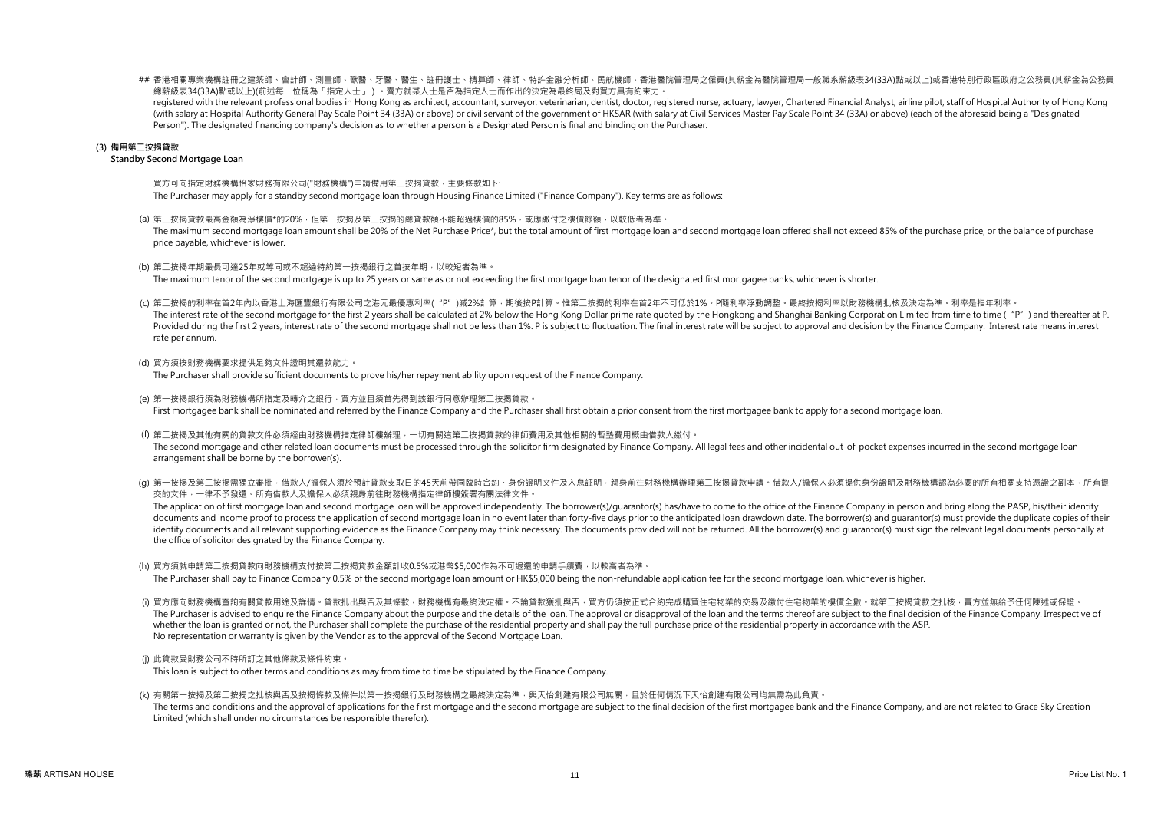## 香港相關專業機構註冊之建築師、會計師、測量師、獸醫、牙醫、醫生、註冊護士、精算師、律師、特許金融分析師、民航機師、香港醫院管理局之僱員(其薪金為醫院管理局一般職系薪級表34(33A)點或以上)或香港特別行政區政府之公務員(其薪金為公務員 總薪級表34(33A)點或以上)(前述每一位稱為「指定人士」)。賣方就某人士是否為指定人士而作出的決定為最終局及對買方具有約束力。

registered with the relevant professional bodies in Hong Kong as architect, accountant, surveyor, veterinarian, dentist, doctor, registered nurse, actuary, lawyer, Chartered Financial Analyst, airline pilot, staff of Hospi (with salary at Hospital Authority General Pay Scale Point 34 (33A) or above) or civil servant of the government of HKSAR (with salary at Civil Services Master Pay Scale Point 34 (33A) or above) (each of the aforesaid bein Person"). The designated financing company's decision as to whether a person is a Designated Person is final and binding on the Purchaser.

### (3) 備用第二按揭貸款

### Standby Second Mortgage Loan

買方可向指定財務機構怡家財務有限公司("財務機構")申請備用第二按揭貸款,主要條款如下: The Purchaser may apply for a standby second mortgage loan through Housing Finance Limited ("Finance Company"). Key terms are as follows:

(a) 第二按揭貸款最高金額為淨樓價\*的20% · 但第一按揭及第二按揭的總貸款額不能超過樓價的85% · 或應繳付之樓價餘額 · 以較低者為準 ·

The maximum second mortgage loan amount shall be 20% of the Net Purchase Price\*, but the total amount of first mortgage loan and second mortgage loan offered shall not exceed 85% of the purchase price, or the balance of pu price payable, whichever is lower.

(b) 第二按揭年期最長可達25年或等同或不超過特約第一按揭銀行之首按年期,以較短者為準。

The maximum tenor of the second mortgage is up to 25 years or same as or not exceeding the first mortgage loan tenor of the designated first mortgagee banks, whichever is shorter.

- (c) 第二按揭的利率在首2年內以香港上海匯豐銀行有限公司之港元最優惠利率("P")減2%計算,期後按P計算。惟第二按揭的利率在首2年不可低於1%。P隨利率浮動調整。最終按揭利率以財務機構批核及決定為準。利率是指年利率。 The interest rate of the second mortgage for the first 2 years shall be calculated at 2% below the Hong Kong Dollar prime rate quoted by the Hongkong and Shanghai Banking Corporation Limited from time to time ("P") and the Provided during the first 2 years, interest rate of the second mortgage shall not be less than 1%. P is subject to fluctuation. The final interest rate will be subject to approval and decision by the Finance Company. Inter rate per annum.
- (d) 買方須按財務機構要求提供足夠文件證明其還款能力。

The Purchaser shall provide sufficient documents to prove his/her repayment ability upon request of the Finance Company.

- (e) 第一按揭銀行須為財務機構所指定及轉介之銀行,買方並且須首先得到該銀行同意辦理第二按揭貸款。 First mortgagee bank shall be nominated and referred by the Finance Company and the Purchaser shall first obtain a prior consent from the first mortgagee bank to apply for a second mortgage loan.
- (f) 第二按揭及其他有關的貸款文件必須經由財務機構指定律師樓辦理,一切有關這第二按揭貸款的律師費用及其他相關的暫墊費用概由借款人繳付。 The second mortgage and other related loan documents must be processed through the solicitor firm designated by Finance Company. All legal fees and other incidental out-of-pocket expenses incurred in the second mortgage lo arrangement shall be borne by the borrower(s).
- (g) 第一按揭尽第四次揭需獨立審批,借款人/擔保人須於預計貸款支取日的45天前帶同臨時合約、身份證明文件及入息証明,親身前往財務機構辦理第二按揭貸款申請。借款人/擔保人必須提供身份證明及財務機構認為必要的所有相關支持憑證之副本,所有提 交的文件,一律不予發還。所有借款人及擔保人必須親身前往財務機構指定律師樓簽署有關法律文件。

The application of first mortgage loan and second mortgage loan will be approved independently. The borrower(s)/guarantor(s) has/have to come to the office of the Finance Company in person and bring along the PASP, his/the documents and income proof to process the application of second mortgage loan in no event later than forty-five days prior to the anticipated loan drawdown date. The borrower(s) and quarantor(s) must provide the duplicate identity documents and all relevant supporting evidence as the Finance Company may think necessary. The documents provided will not be returned. All the borrower(s) and quarantor(s) must sign the relevant legal documents p the office of solicitor designated by the Finance Company.

- (h) 買方須就申請第二按揭貸款向財務機構支付按第二按揭貸款金額計收0.5%或港幣\$5,000作為不可退還的申請手續費,以較高者為準。 The Purchaser shall pay to Finance Company 0.5% of the second mortgage loan amount or HK\$5,000 being the non-refundable application fee for the second mortgage loan, whichever is higher.
- (i) 買方應向財務機構查詢有關貸款用途及詳情。貸款批出與否及其條款,財務機構有最終決定權。不論貸款獲批與否,買方仍須按正式合約完成購買住宅物業的交易及繳付住宅物業的樓價全數。就第<sup>一</sup>按揭貸款之批核,賣方並無給予任何陳述或保證。 No representation or warranty is given by the Vendor as to the approval of the Second Mortgage Loan. The Purchaser is advised to enquire the Finance Company about the purpose and the details of the loan. The approval or disapproval of the loan and the terms thereof are subject to the final decision of the Finance Company. whether the loan is granted or not, the Purchaser shall complete the purchase of the residential property and shall pay the full purchase price of the residential property in accordance with the ASP.
- (j) 此貸款受財務公司不時所訂之其他條款及條件約束。

This loan is subject to other terms and conditions as may from time to time be stipulated by the Finance Company.

(k) 有關第一按揭及第二按揭之批核與否及按揭條款及條件以第一按揭銀行及財務機構之最終決定為準,與天怡創建有限公司無關,且於任何情況下天怡創建有限公司均無需為此負責。 The terms and conditions and the approval of applications for the first mortgage and the second mortgage are subject to the final decision of the first mortgagee bank and the Finance Company, and are not related to Grace S Limited (which shall under no circumstances be responsible therefor).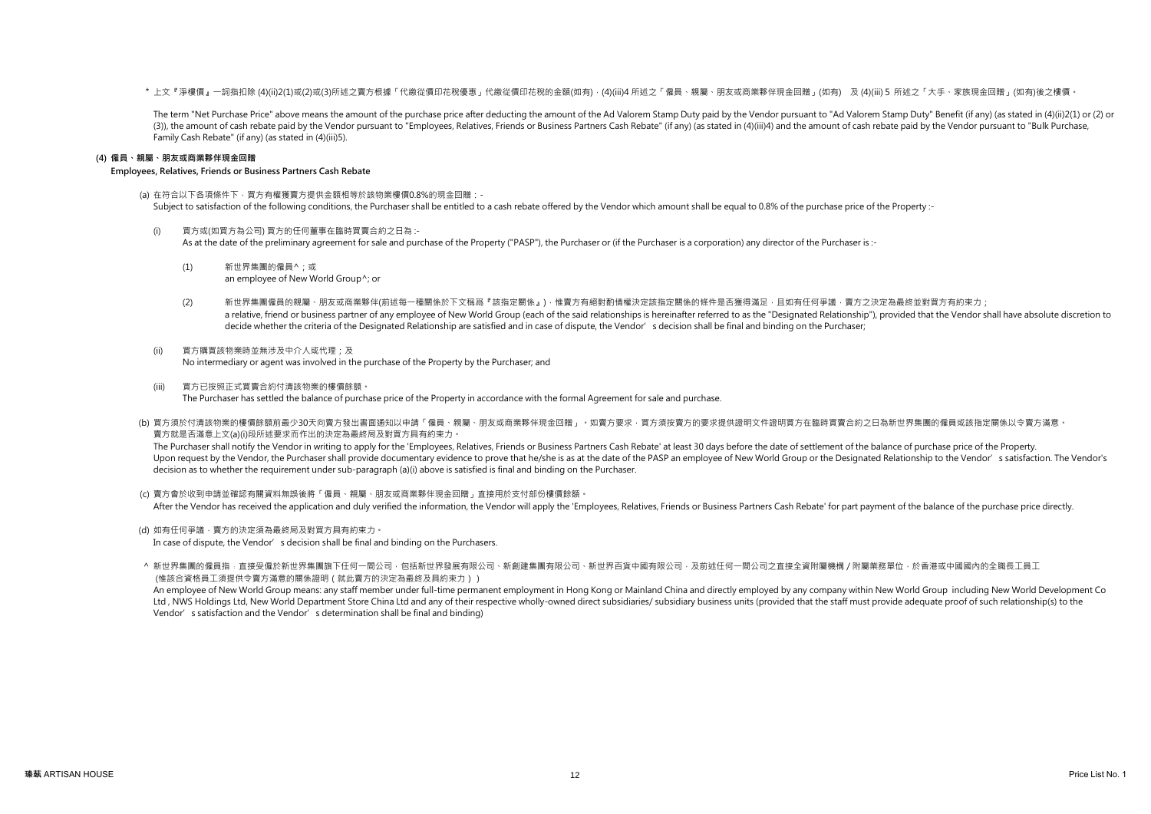\* 上文『淨樓價』一詞指扣除 (4)(ii)2(1)或(2)或(3)所述之賣方根據「代繳從價印花稅優惠」代繳從價印花稅的金額(如有),(4)(iii)4 所述之「僱員、親屬、朋友或商業夥伴現金回贈」(如有) 及 (4)(iii)5 所述之「大手、家族現金回贈」(如有)後之樓價。

The term "Net Purchase Price" above means the amount of the purchase price after deducting the amount of the Ad Valorem Stamp Duty paid by the Vendor pursuant to "Ad Valorem Stamp Duty" Benefit (if any) (as stated in (4)(i (3)), the amount of cash rebate paid by the Vendor pursuant to "Employees, Relatives, Friends or Business Partners Cash Rebate" (if any) (as stated in (4)(iii)4) and the amount of cash rebate paid by the Vendor pursuant to Family Cash Rebate" (if any) (as stated in (4)(iii)5).

### (4) 僱員、親屬、朋友或商業夥伴現金回贈

### Employees, Relatives, Friends or Business Partners Cash Rebate

(a) 在符合以下各項條件下,買方有權獲賣方提供金額相等於該物業樓價0.8%的現金回贈:- Subject to satisfaction of the following conditions, the Purchaser shall be entitled to a cash rebate offered by the Vendor which amount shall be equal to 0.8% of the purchase price of the Property :-

(i) 買方或(如買方為公司) 買方的任何董事在臨時買賣合約之日為 :- As at the date of the preliminary agreement for sale and purchase of the Property ("PASP"), the Purchaser or (if the Purchaser is a corporation) any director of the Purchaser is :-

- (1) 新世界集團的僱員^;或 an employee of New World Group^; or
- (2) 新世界集團僱員的親屬、朋友或商業夥伴(前述每一種關係於下文稱爲『該指定關係』),惟賣方有絕對酌情權決定該指定關係的條件是否獲得滿足,且如有任何爭議,賣方之決定為最終並對買方有約束力; a relative, friend or business partner of any employee of New World Group (each of the said relationships is hereinafter referred to as the "Designated Relationship"), provided that the Vendor shall have absolute discretio decide whether the criteria of the Designated Relationship are satisfied and in case of dispute, the Vendor's decision shall be final and binding on the Purchaser;
- (ii) 買方購買該物業時並無涉及中介人或代理;及 No intermediary or agent was involved in the purchase of the Property by the Purchaser; and
- (iii) 買方已按照正式買賣合約付清該物業的樓價餘額。 The Purchaser has settled the balance of purchase price of the Property in accordance with the formal Agreement for sale and purchase.
- (b) 買方須於付清該物業的樓價餘額前最少30天向賣方發出書面通知以申請「僱員、親屬、朋友或商業夥伴現金回贈」。如賣方要求,買方須按賣方的要求提供證明文件證明實方在臨時買賣合約之日為新世界集團的僱員或該指定關係以令賣方滿意。 賣方就是否滿意上文(a)(i)段所述要求而作出的決定為最終局及對買方具有約束力。

The Purchaser shall notify the Vendor in writing to apply for the 'Employees, Relatives, Friends or Business Partners Cash Rebate' at least 30 days before the date of settlement of the balance of purchase price of the Prop Upon request by the Vendor, the Purchaser shall provide documentary evidence to prove that he/she is as at the date of the PASP an employee of New World Group or the Designated Relationship to the Vendor's satisfaction. Th decision as to whether the requirement under sub-paragraph (a)(i) above is satisfied is final and binding on the Purchaser.

(c) 賣方會於收到申請並確認有關資料無誤後將「僱員、親屬、朋友或商業夥伴現金回贈」直接用於支付部份樓價餘額。 After the Vendor has received the application and duly verified the information, the Vendor will apply the 'Employees, Relatives, Friends or Business Partners Cash Rebate' for part payment of the balance of the purchase pr

(d) 如有任何爭議 · 賣方的決定須為最終局及對買方具有約束力 ·

In case of dispute, the Vendor's decision shall be final and binding on the Purchasers.

^ 新世界集團的僱員指﹕直接受僱於新世界集團旗下任何一間公司‧包括新世界發展有限公司、新創建集團有限公司、新世界百貨中國有限公司‧及前述任何一間公司之直接全資附屬機構/附屬業務單位‧於香港或中國國內的全職長工員工 (惟該合資格員工須提供令賣方滿意的關係證明(就此賣方的決定為最終及具約束力))

An employee of New World Group means: any staff member under full-time permanent employment in Hong Kong or Mainland China and directly employed by any company within New World Group including New World Development Co Ltd. NWS Holdings Ltd. New World Department Store China Ltd and any of their respective wholly-owned direct subsidiaries/ subsidiary business units (provided that the staff must provide adequate proof of such relationship( Vendor's satisfaction and the Vendor's determination shall be final and binding)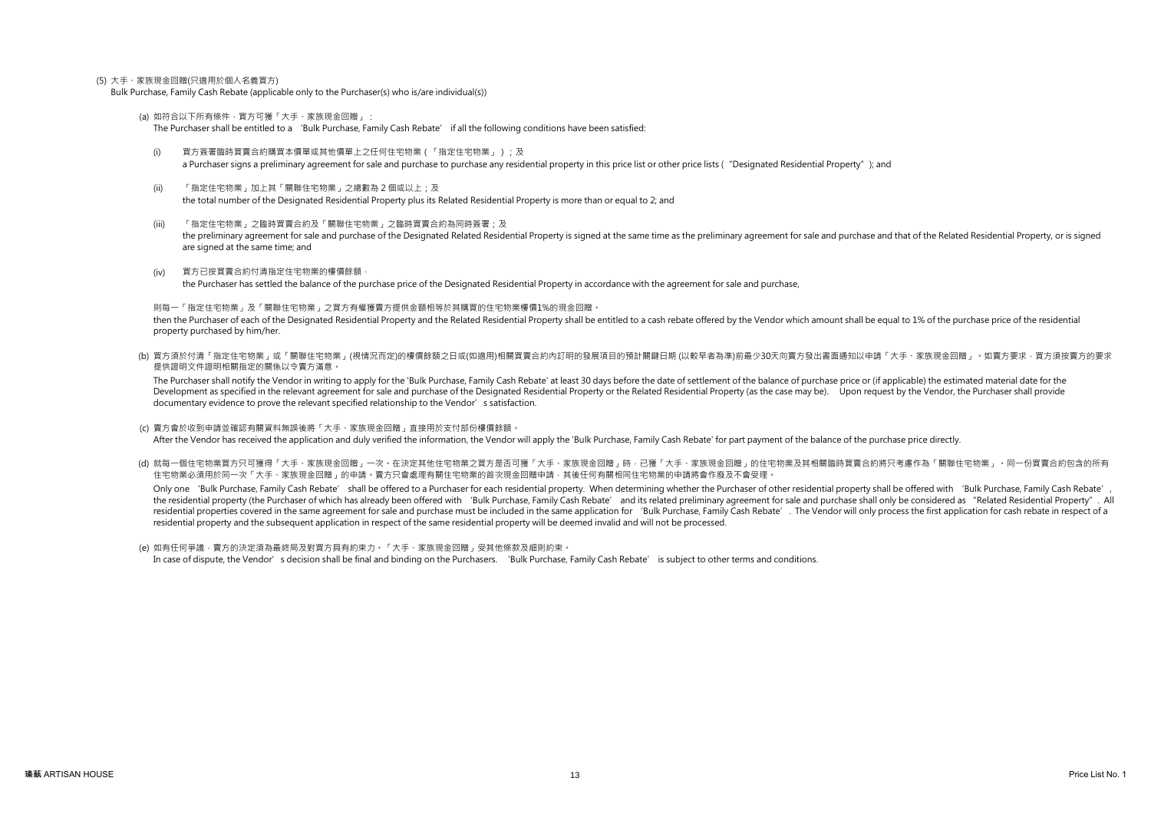### (5) 大手、家族現金回贈(只適用於個人名義買方)

Bulk Purchase, Family Cash Rebate (applicable only to the Purchaser(s) who is/are individual(s))

(a) 如符合以下所有條件,買方可獲「大手、家族現金回贈」:

The Purchaser shall be entitled to a 'Bulk Purchase, Family Cash Rebate' if all the following conditions have been satisfied:

- (i) 買方簽署臨時買賣合約購買本價單或其他價單上之任何住宅物業(「指定住宅物業」);及 a Purchaser signs a preliminary agreement for sale and purchase to purchase any residential property in this price lists or other price lists ("Designated Residential Property"); and
- (ii) 「指定住宅物業」加上其「關聯住宅物業」之總數為 2 個或以上;及 the total number of the Designated Residential Property plus its Related Residential Property is more than or equal to 2; and
- (iii) 「指定住宅物業」之臨時買賣合約及「關聯住宅物業」之臨時買賣合約為同時簽署;及 the preliminary agreement for sale and purchase of the Designated Related Residential Property is signed at the same time as the preliminary agreement for sale and purchase and that of the Related Residential Property, or are signed at the same time; and
- (iv) 買方已按買賣合約付清指定住宅物業的樓價餘額, the Purchaser has settled the balance of the purchase price of the Designated Residential Property in accordance with the agreement for sale and purchase,

則每一「指定住宅物業」及「關聯住宅物業」之買方有權獲賣方提供金額相等於其購買的住宅物業樓價1%的現金回贈。

then the Purchaser of each of the Designated Residential Property and the Related Residential Property shall be entitled to a cash rebate offered by the Vendor which amount shall be equal to 1% of the purchase price of the property purchased by him/her.

(b) 買方須於付清「指定住宅物業」或「關聯住宅物業」(視情況而定)的樓價餘額之日或(如適用)相關買賣合約內訂明的發展項目的預計關鍵日期 (以較早者為準)前最少30天向賣方發出書面通知以申請「大手、家族現金回贈」。如賣方要求,買方須按賣方的要求 提供證明文件證明相關指定的關係以令賣方滿意。

The Purchaser shall notify the Vendor in writing to apply for the 'Bulk Purchase. Family Cash Rebate' at least 30 days before the date of settlement of the balance of purchase price or (if applicable) the estimated materia Development as specified in the relevant agreement for sale and purchase of the Designated Residential Property or the Related Residential Property (as the case may be). Upon request by the Vendor, the Purchaser shall prov documentary evidence to prove the relevant specified relationship to the Vendor's satisfaction.

- (c) 賣方會於收到申請並確認有關資料無誤後將「大手、家族現金回贈」直接用於支付部份樓價餘額。 After the Vendor has received the application and duly verified the information, the Vendor will apply the 'Bulk Purchase, Family Cash Rebate' for part payment of the balance of the purchase price directly.
- (d) 就每一個住宅物業買方只可獲得「大手、家族現金回贈」一次。在決定其他住宅物業之買方是否可獲「大手、家族現金回贈」時,已獲「大手、家族現金回贈」的住宅物業及其相關臨時買賣合約將只考慮作為「關聯住宅物業」。同一份買賣合約包含的所有 住宅物業必須用於同一次「大手、家族現金回贈」的申請。賣方只會處理有關住宅物業的首次現金回贈申請,其後任何有關相同住宅物業的申請將會作廢及不會受理。

Only one 'Bulk Purchase, Family Cash Rebate' shall be offered to a Purchaser for each residential property. When determining whether the Purchaser of other residential property shall be offered with 'Bulk Purchase, Family the residential property (the Purchaser of which has already been offered with 'Bulk Purchase, Family Cash Rebate' and its related preliminary agreement for sale and purchase shall only be considered as "Related Residentia residential properties covered in the same agreement for sale and purchase must be included in the same application for 'Bulk Purchase. Family Cash Rebate'. The Vendor will only process the first application for cash rebat residential property and the subsequent application in respect of the same residential property will be deemed invalid and will not be processed.

(e) 如有任何爭議 · 賣方的決定須為最終局及對買方具有約束力 · 「大手、家族現金回贈」受其他條款及細則約束 · In case of dispute, the Vendor's decision shall be final and binding on the Purchasers. 'Bulk Purchase, Family Cash Rebate' is subject to other terms and conditions.